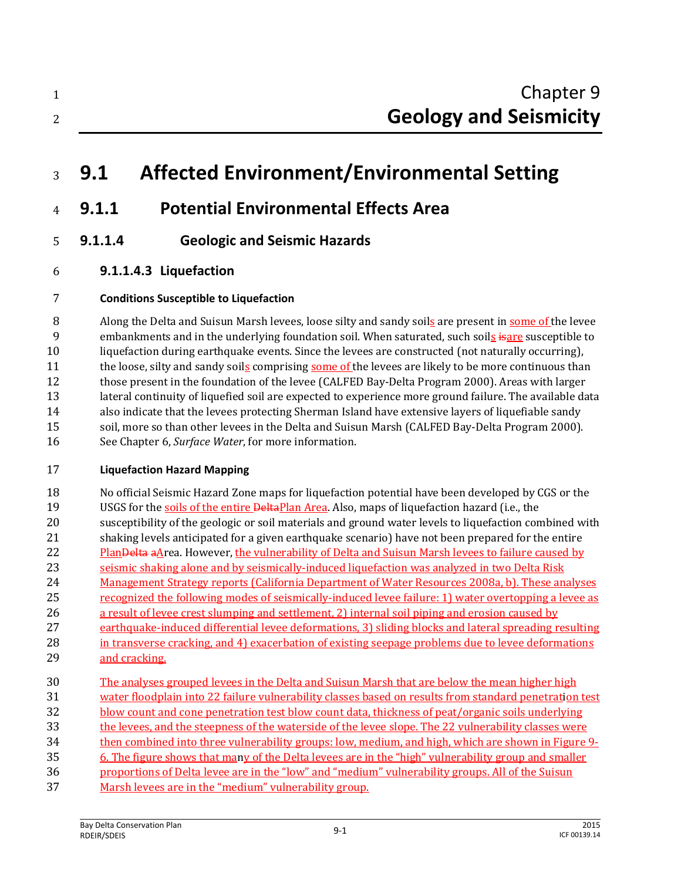## **9.1 Affected Environment/Environmental Setting**

- **9.1.1 Potential Environmental Effects Area**
- **9.1.1.4 Geologic and Seismic Hazards**
- **9.1.1.4.3 Liquefaction**

#### **Conditions Susceptible to Liquefaction**

 Along the Delta and Suisun Marsh levees, loose silty and sandy soils are present in some of the levee 9 embankments and in the underlying foundation soil. When saturated, such soils is are susceptible to liquefaction during earthquake events. Since the levees are constructed (not naturally occurring), 11 the loose, silty and sandy soils comprising some of the levees are likely to be more continuous than those present in the foundation of the levee (CALFED Bay-Delta Program 2000). Areas with larger lateral continuity of liquefied soil are expected to experience more ground failure. The available data also indicate that the levees protecting Sherman Island have extensive layers of liquefiable sandy soil, more so than other levees in the Delta and Suisun Marsh (CALFED Bay-Delta Program 2000). See Chapter 6, *Surface Water*, for more information.

#### **Liquefaction Hazard Mapping**

 No official Seismic Hazard Zone maps for liquefaction potential have been developed by CGS or the 19 USGS for the soils of the entire DeltaPlan Area. Also, maps of liquefaction hazard (i.e., the susceptibility of the geologic or soil materials and ground water levels to liquefaction combined with shaking levels anticipated for a given earthquake scenario) have not been prepared for the entire 22 Plan<del>Delta</del> aArea. However, the vulnerability of Delta and Suisun Marsh levees to failure caused by seismic shaking alone and by seismically-induced liquefaction was analyzed in two Delta Risk Management Strategy reports (California Department of Water Resources 2008a, b). These analyses recognized the following modes of seismically-induced levee failure: 1) water overtopping a levee as a result of levee crest slumping and settlement, 2) internal soil piping and erosion caused by earthquake-induced differential levee deformations, 3) sliding blocks and lateral spreading resulting in transverse cracking, and 4) exacerbation of existing seepage problems due to levee deformations 29 and cracking. The analyses grouped levees in the Delta and Suisun Marsh that are below the mean higher high water floodplain into 22 failure vulnerability classes based on results from standard penetration test

- blow count and cone penetration test blow count data, thickness of peat/organic soils underlying
- the levees, and the steepness of the waterside of the levee slope. The 22 vulnerability classes were
- then combined into three vulnerability groups: low, medium, and high, which are shown in Figure 9-
- 6. The figure shows that many of the Delta levees are in the "high" vulnerability group and smaller
- proportions of Delta levee are in the "low" and "medium" vulnerability groups. All of the Suisun
- Marsh levees are in the "medium" vulnerability group.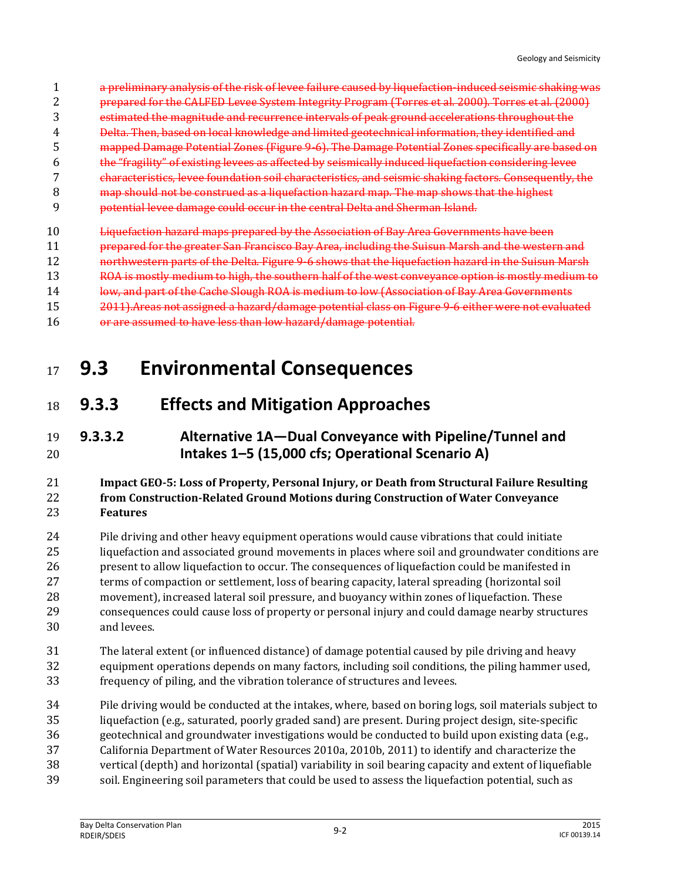- a preliminary analysis of the risk of levee failure caused by liquefaction-induced seismic shaking was
- prepared for the CALFED Levee System Integrity Program (Torres et al. 2000). Torres et al. (2000)
- estimated the magnitude and recurrence intervals of peak ground accelerations throughout the
- Delta. Then, based on local knowledge and limited geotechnical information, they identified and
- mapped Damage Potential Zones (Figure 9-6). The Damage Potential Zones specifically are based on
- the "fragility" of existing levees as affected by seismically induced liquefaction considering levee
- characteristics, levee foundation soil characteristics, and seismic shaking factors. Consequently, the
- map should not be construed as a liquefaction hazard map. The map shows that the highest
- potential levee damage could occur in the central Delta and Sherman Island.
- Liquefaction hazard maps prepared by the Association of Bay Area Governments have been
- prepared for the greater San Francisco Bay Area, including the Suisun Marsh and the western and
- **northwestern parts of the Delta. Figure 9-6 shows that the liquefaction hazard in the Suisun Marsh**
- 13 ROA is mostly medium to high, the southern half of the west conveyance option is mostly medium to
- 14 low, and part of the Cache Slough ROA is medium to low (Association of Bay Area Governments
- 2011).Areas not assigned a hazard/damage potential class on Figure 9-6 either were not evaluated
- or are assumed to have less than low hazard/damage potential.

### **9.3 Environmental Consequences**

### **9.3.3 Effects and Mitigation Approaches**

#### **9.3.3.2 Alternative 1A—Dual Conveyance with Pipeline/Tunnel and Intakes 1–5 (15,000 cfs; Operational Scenario A)**

#### **Impact GEO-5: Loss of Property, Personal Injury, or Death from Structural Failure Resulting from Construction-Related Ground Motions during Construction of Water Conveyance Features**

 Pile driving and other heavy equipment operations would cause vibrations that could initiate liquefaction and associated ground movements in places where soil and groundwater conditions are present to allow liquefaction to occur. The consequences of liquefaction could be manifested in terms of compaction or settlement, loss of bearing capacity, lateral spreading (horizontal soil movement), increased lateral soil pressure, and buoyancy within zones of liquefaction. These consequences could cause loss of property or personal injury and could damage nearby structures and levees.

- The lateral extent (or influenced distance) of damage potential caused by pile driving and heavy equipment operations depends on many factors, including soil conditions, the piling hammer used, frequency of piling, and the vibration tolerance of structures and levees.
- Pile driving would be conducted at the intakes, where, based on boring logs, soil materials subject to
- liquefaction (e.g., saturated, poorly graded sand) are present. During project design, site-specific
- geotechnical and groundwater investigations would be conducted to build upon existing data (e.g.,
- California Department of Water Resources 2010a, 2010b, 2011) to identify and characterize the vertical (depth) and horizontal (spatial) variability in soil bearing capacity and extent of liquefiable
- soil. Engineering soil parameters that could be used to assess the liquefaction potential, such as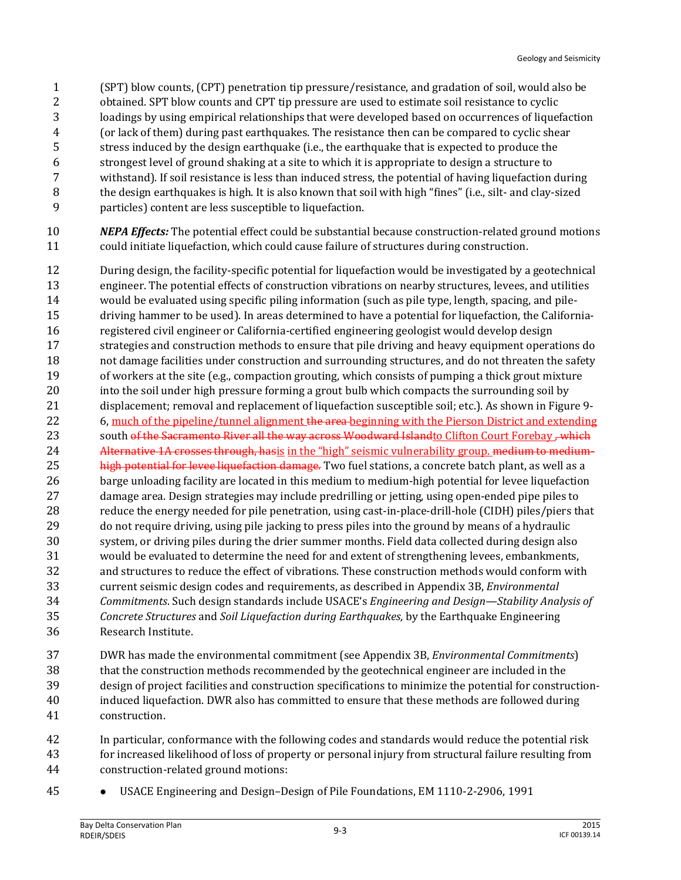- (SPT) blow counts, (CPT) penetration tip pressure/resistance, and gradation of soil, would also be
- obtained. SPT blow counts and CPT tip pressure are used to estimate soil resistance to cyclic
- loadings by using empirical relationships that were developed based on occurrences of liquefaction
- (or lack of them) during past earthquakes. The resistance then can be compared to cyclic shear
- stress induced by the design earthquake (i.e., the earthquake that is expected to produce the
- strongest level of ground shaking at a site to which it is appropriate to design a structure to withstand). If soil resistance is less than induced stress, the potential of having liquefaction during
- the design earthquakes is high. It is also known that soil with high "fines" (i.e., silt- and clay-sized
- particles) content are less susceptible to liquefaction.
- *NEPA Effects:* The potential effect could be substantial because construction-related ground motions could initiate liquefaction, which could cause failure of structures during construction.
- During design, the facility-specific potential for liquefaction would be investigated by a geotechnical engineer. The potential effects of construction vibrations on nearby structures, levees, and utilities would be evaluated using specific piling information (such as pile type, length, spacing, and pile- driving hammer to be used). In areas determined to have a potential for liquefaction, the California- registered civil engineer or California-certified engineering geologist would develop design strategies and construction methods to ensure that pile driving and heavy equipment operations do not damage facilities under construction and surrounding structures, and do not threaten the safety of workers at the site (e.g., compaction grouting, which consists of pumping a thick grout mixture into the soil under high pressure forming a grout bulb which compacts the surrounding soil by displacement; removal and replacement of liquefaction susceptible soil; etc.). As shown in Figure 9- 22 6, much of the pipeline/tunnel alignment the area beginning with the Pierson District and extending 23 south of the Sacramento River all the way across Woodward Islandto Clifton Court Forebay , which 24 Alternative 1A crosses through, hasis in the "high" seismic vulnerability group. medium to medium-25 high potential for levee liquefaction damage. Two fuel stations, a concrete batch plant, as well as a barge unloading facility are located in this medium to medium-high potential for levee liquefaction damage area. Design strategies may include predrilling or jetting, using open-ended pipe piles to reduce the energy needed for pile penetration, using cast-in-place-drill-hole (CIDH) piles/piers that do not require driving, using pile jacking to press piles into the ground by means of a hydraulic system, or driving piles during the drier summer months. Field data collected during design also would be evaluated to determine the need for and extent of strengthening levees, embankments, and structures to reduce the effect of vibrations. These construction methods would conform with current seismic design codes and requirements, as described in Appendix 3B, *Environmental Commitments*. Such design standards include USACE's *Engineering and Design—Stability Analysis of Concrete Structures* and *Soil Liquefaction during Earthquakes,* by the Earthquake Engineering Research Institute.
- DWR has made the environmental commitment (see Appendix 3B, *Environmental Commitments*) that the construction methods recommended by the geotechnical engineer are included in the design of project facilities and construction specifications to minimize the potential for construction- induced liquefaction. DWR also has committed to ensure that these methods are followed during construction.
- In particular, conformance with the following codes and standards would reduce the potential risk for increased likelihood of loss of property or personal injury from structural failure resulting from construction-related ground motions:
- 
- USACE Engineering and Design–Design of Pile Foundations, EM 1110-2-2906, 1991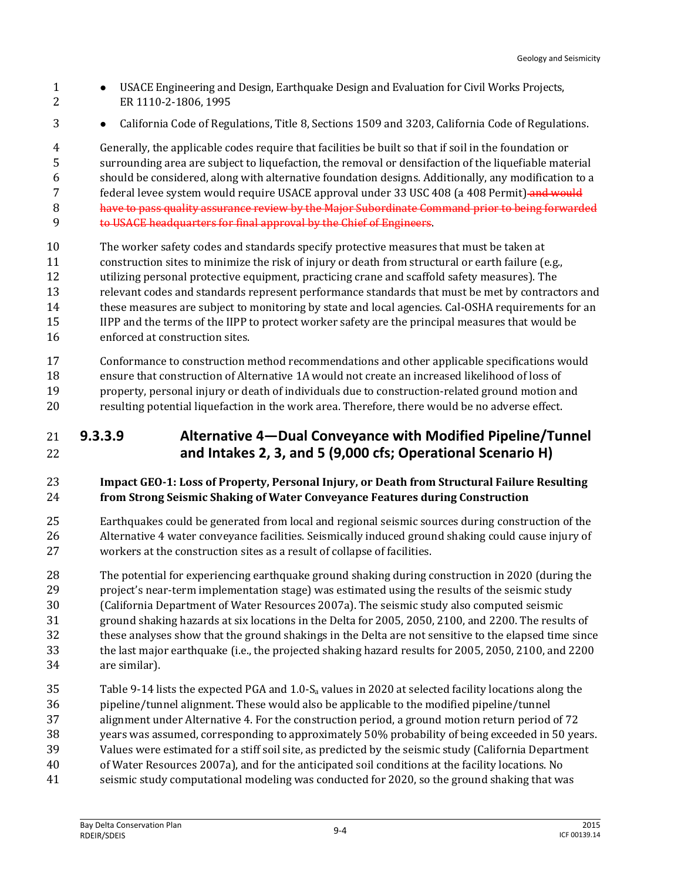- USACE Engineering and Design, Earthquake Design and Evaluation for Civil Works Projects, ER 1110-2-1806, 1995
- **•** California Code of Regulations, Title 8, Sections 1509 and 3203, California Code of Regulations.

 Generally, the applicable codes require that facilities be built so that if soil in the foundation or surrounding area are subject to liquefaction, the removal or densifaction of the liquefiable material should be considered, along with alternative foundation designs. Additionally, any modification to a 7 federal levee system would require USACE approval under 33 USC 408 (a 408 Permit) and would **have to pass quality assurance review by the Major Subordinate Command prior to being forwarded** 

- to USACE headquarters for final approval by the Chief of Engineers.
- The worker safety codes and standards specify protective measures that must be taken at construction sites to minimize the risk of injury or death from structural or earth failure (e.g., utilizing personal protective equipment, practicing crane and scaffold safety measures). The relevant codes and standards represent performance standards that must be met by contractors and these measures are subject to monitoring by state and local agencies. Cal-OSHA requirements for an IIPP and the terms of the IIPP to protect worker safety are the principal measures that would be
- enforced at construction sites.
- Conformance to construction method recommendations and other applicable specifications would ensure that construction of Alternative 1A would not create an increased likelihood of loss of property, personal injury or death of individuals due to construction-related ground motion and
- resulting potential liquefaction in the work area. Therefore, there would be no adverse effect.

#### **9.3.3.9 Alternative 4—Dual Conveyance with Modified Pipeline/Tunnel and Intakes 2, 3, and 5 (9,000 cfs; Operational Scenario H)**

#### **Impact GEO-1: Loss of Property, Personal Injury, or Death from Structural Failure Resulting from Strong Seismic Shaking of Water Conveyance Features during Construction**

- Earthquakes could be generated from local and regional seismic sources during construction of the Alternative 4 water conveyance facilities. Seismically induced ground shaking could cause injury of workers at the construction sites as a result of collapse of facilities.
- The potential for experiencing earthquake ground shaking during construction in 2020 (during the project's near-term implementation stage) was estimated using the results of the seismic study
- (California Department of Water Resources 2007a). The seismic study also computed seismic
- ground shaking hazards at six locations in the Delta for 2005, 2050, 2100, and 2200. The results of
- these analyses show that the ground shakings in the Delta are not sensitive to the elapsed time since
- the last major earthquake (i.e., the projected shaking hazard results for 2005, 2050, 2100, and 2200
- are similar).
- 35 Table 9-14 lists the expected PGA and  $1.0\text{-}S_a$  values in 2020 at selected facility locations along the pipeline/tunnel alignment. These would also be applicable to the modified pipeline/tunnel
- 
- alignment under Alternative 4. For the construction period, a ground motion return period of 72
- years was assumed, corresponding to approximately 50% probability of being exceeded in 50 years.
- Values were estimated for a stiff soil site, as predicted by the seismic study (California Department of Water Resources 2007a), and for the anticipated soil conditions at the facility locations. No
- seismic study computational modeling was conducted for 2020, so the ground shaking that was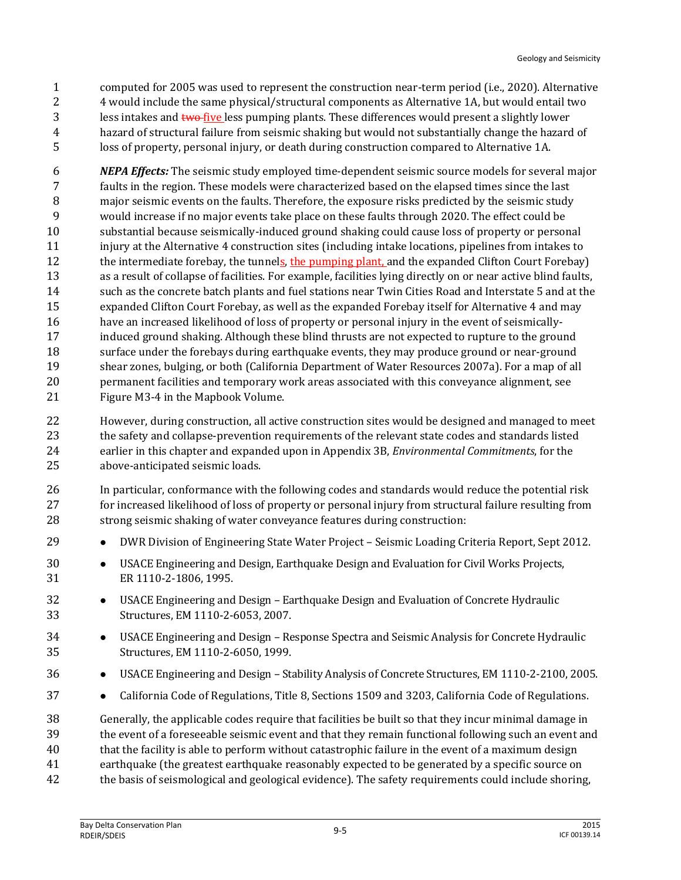computed for 2005 was used to represent the construction near-term period (i.e., 2020). Alternative 4 would include the same physical/structural components as Alternative 1A, but would entail two 3 less intakes and two five less pumping plants. These differences would present a slightly lower hazard of structural failure from seismic shaking but would not substantially change the hazard of loss of property, personal injury, or death during construction compared to Alternative 1A.

 *NEPA Effects:* The seismic study employed time-dependent seismic source models for several major faults in the region. These models were characterized based on the elapsed times since the last major seismic events on the faults. Therefore, the exposure risks predicted by the seismic study would increase if no major events take place on these faults through 2020. The effect could be substantial because seismically-induced ground shaking could cause loss of property or personal injury at the Alternative 4 construction sites (including intake locations, pipelines from intakes to 12 the intermediate forebay, the tunnels, the pumping plant, and the expanded Clifton Court Forebay) as a result of collapse of facilities. For example, facilities lying directly on or near active blind faults, such as the concrete batch plants and fuel stations near Twin Cities Road and Interstate 5 and at the expanded Clifton Court Forebay, as well as the expanded Forebay itself for Alternative 4 and may have an increased likelihood of loss of property or personal injury in the event of seismically- induced ground shaking. Although these blind thrusts are not expected to rupture to the ground 18 surface under the forebays during earthquake events, they may produce ground or near-ground shear zones, bulging, or both (California Department of Water Resources 2007a). For a map of all permanent facilities and temporary work areas associated with this conveyance alignment, see Figure M3-4 in the Mapbook Volume.

- However, during construction, all active construction sites would be designed and managed to meet the safety and collapse-prevention requirements of the relevant state codes and standards listed earlier in this chapter and expanded upon in Appendix 3B, *Environmental Commitments*, for the above-anticipated seismic loads.
- In particular, conformance with the following codes and standards would reduce the potential risk for increased likelihood of loss of property or personal injury from structural failure resulting from strong seismic shaking of water conveyance features during construction:
- **••** DWR Division of Engineering State Water Project Seismic Loading Criteria Report, Sept 2012.
- USACE Engineering and Design, Earthquake Design and Evaluation for Civil Works Projects, ER 1110-2-1806, 1995.
- USACE Engineering and Design Earthquake Design and Evaluation of Concrete Hydraulic Structures, EM 1110-2-6053, 2007.
- USACE Engineering and Design Response Spectra and Seismic Analysis for Concrete Hydraulic Structures, EM 1110-2-6050, 1999.
- USACE Engineering and Design Stability Analysis of Concrete Structures, EM 1110-2-2100, 2005.
- **•** California Code of Regulations, Title 8, Sections 1509 and 3203, California Code of Regulations.

 Generally, the applicable codes require that facilities be built so that they incur minimal damage in the event of a foreseeable seismic event and that they remain functional following such an event and that the facility is able to perform without catastrophic failure in the event of a maximum design earthquake (the greatest earthquake reasonably expected to be generated by a specific source on the basis of seismological and geological evidence). The safety requirements could include shoring,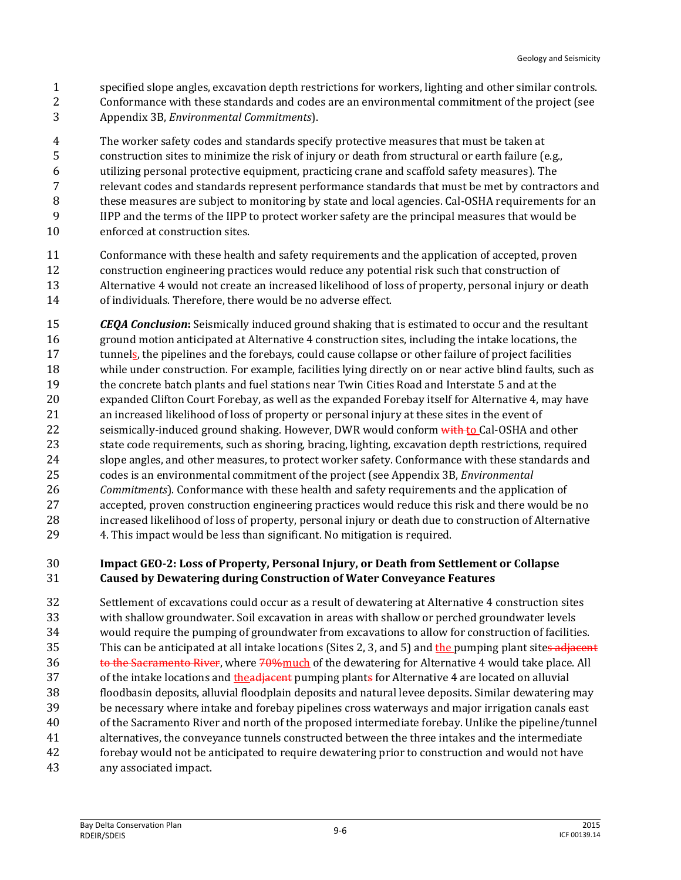- specified slope angles, excavation depth restrictions for workers, lighting and other similar controls.
- Conformance with these standards and codes are an environmental commitment of the project (see
- Appendix 3B, *Environmental Commitments*).

The worker safety codes and standards specify protective measures that must be taken at

- construction sites to minimize the risk of injury or death from structural or earth failure (e.g.,
- utilizing personal protective equipment, practicing crane and scaffold safety measures). The
- relevant codes and standards represent performance standards that must be met by contractors and
- these measures are subject to monitoring by state and local agencies. Cal-OSHA requirements for an IIPP and the terms of the IIPP to protect worker safety are the principal measures that would be
- enforced at construction sites.
- Conformance with these health and safety requirements and the application of accepted, proven construction engineering practices would reduce any potential risk such that construction of Alternative 4 would not create an increased likelihood of loss of property, personal injury or death of individuals. Therefore, there would be no adverse effect.
- *CEQA Conclusion***:** Seismically induced ground shaking that is estimated to occur and the resultant ground motion anticipated at Alternative 4 construction sites, including the intake locations, the 17 tunnels, the pipelines and the forebays, could cause collapse or other failure of project facilities while under construction. For example, facilities lying directly on or near active blind faults, such as the concrete batch plants and fuel stations near Twin Cities Road and Interstate 5 and at the expanded Clifton Court Forebay, as well as the expanded Forebay itself for Alternative 4, may have an increased likelihood of loss of property or personal injury at these sites in the event of 22 seismically-induced ground shaking. However, DWR would conform with to Cal-OSHA and other state code requirements, such as shoring, bracing, lighting, excavation depth restrictions, required slope angles, and other measures, to protect worker safety. Conformance with these standards and codes is an environmental commitment of the project (see Appendix 3B, *Environmental Commitments*). Conformance with these health and safety requirements and the application of accepted, proven construction engineering practices would reduce this risk and there would be no increased likelihood of loss of property, personal injury or death due to construction of Alternative 4. This impact would be less than significant. No mitigation is required.

#### **Impact GEO-2: Loss of Property, Personal Injury, or Death from Settlement or Collapse Caused by Dewatering during Construction of Water Conveyance Features**

 Settlement of excavations could occur as a result of dewatering at Alternative 4 construction sites with shallow groundwater. Soil excavation in areas with shallow or perched groundwater levels would require the pumping of groundwater from excavations to allow for construction of facilities. 35 This can be anticipated at all intake locations (Sites 2, 3, and 5) and the pumping plant sites adjacent 36 to the Sacramento River, where 70% much of the dewatering for Alternative 4 would take place. All 37 of the intake locations and the adjacent pumping plants for Alternative 4 are located on alluvial floodbasin deposits, alluvial floodplain deposits and natural levee deposits. Similar dewatering may be necessary where intake and forebay pipelines cross waterways and major irrigation canals east of the Sacramento River and north of the proposed intermediate forebay. Unlike the pipeline/tunnel alternatives, the conveyance tunnels constructed between the three intakes and the intermediate forebay would not be anticipated to require dewatering prior to construction and would not have any associated impact.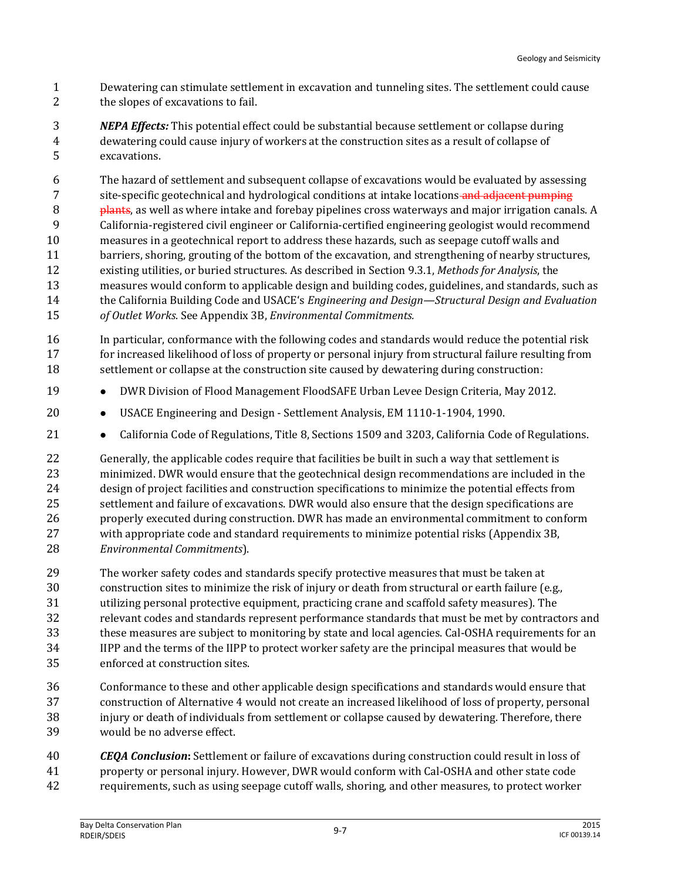- Dewatering can stimulate settlement in excavation and tunneling sites. The settlement could cause the slopes of excavations to fail.
- *NEPA Effects:* This potential effect could be substantial because settlement or collapse during dewatering could cause injury of workers at the construction sites as a result of collapse of excavations.

 The hazard of settlement and subsequent collapse of excavations would be evaluated by assessing 7 site-specific geotechnical and hydrological conditions at intake locations and adjacent pumping **plants**, as well as where intake and forebay pipelines cross waterways and major irrigation canals. A California-registered civil engineer or California-certified engineering geologist would recommend measures in a geotechnical report to address these hazards, such as seepage cutoff walls and barriers, shoring, grouting of the bottom of the excavation, and strengthening of nearby structures, existing utilities, or buried structures. As described in Section 9.3.1, *Methods for Analysis*, the measures would conform to applicable design and building codes, guidelines, and standards, such as the California Building Code and USACE's *Engineering and Design—Structural Design and Evaluation of Outlet Works*. See Appendix 3B, *Environmental Commitments.*

- In particular, conformance with the following codes and standards would reduce the potential risk 17 for increased likelihood of loss of property or personal injury from structural failure resulting from 18 settlement or collapse at the construction site caused by dewatering during construction:
- **•** DWR Division of Flood Management FloodSAFE Urban Levee Design Criteria, May 2012.
- USACE Engineering and Design Settlement Analysis, EM 1110-1-1904, 1990.
- **•** California Code of Regulations, Title 8, Sections 1509 and 3203, California Code of Regulations.

 Generally, the applicable codes require that facilities be built in such a way that settlement is minimized. DWR would ensure that the geotechnical design recommendations are included in the design of project facilities and construction specifications to minimize the potential effects from settlement and failure of excavations. DWR would also ensure that the design specifications are properly executed during construction. DWR has made an environmental commitment to conform with appropriate code and standard requirements to minimize potential risks (Appendix 3B, *Environmental Commitments*).

- The worker safety codes and standards specify protective measures that must be taken at construction sites to minimize the risk of injury or death from structural or earth failure (e.g., utilizing personal protective equipment, practicing crane and scaffold safety measures). The relevant codes and standards represent performance standards that must be met by contractors and these measures are subject to monitoring by state and local agencies. Cal-OSHA requirements for an IIPP and the terms of the IIPP to protect worker safety are the principal measures that would be enforced at construction sites.
- Conformance to these and other applicable design specifications and standards would ensure that construction of Alternative 4 would not create an increased likelihood of loss of property, personal injury or death of individuals from settlement or collapse caused by dewatering. Therefore, there would be no adverse effect.
- *CEQA Conclusion***:** Settlement or failure of excavations during construction could result in loss of property or personal injury. However, DWR would conform with Cal-OSHA and other state code requirements, such as using seepage cutoff walls, shoring, and other measures, to protect worker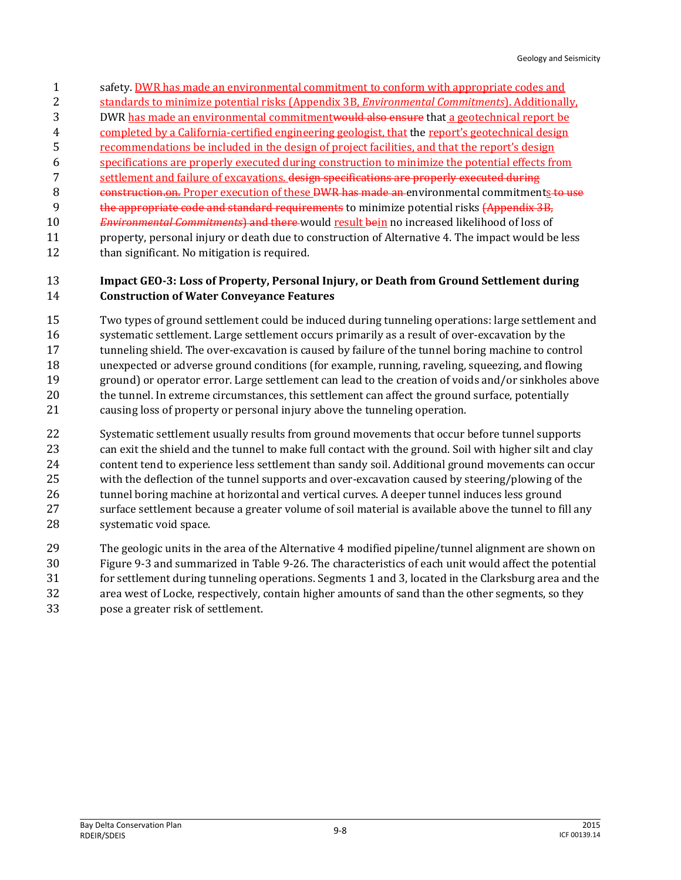- safety. DWR has made an environmental commitment to conform with appropriate codes and
- standards to minimize potential risks (Appendix 3B, *Environmental Commitments*). Additionally,
- DWR has made an environmental commitmentwould also ensure that a geotechnical report be
- completed by a California-certified engineering geologist, that the report's geotechnical design
- recommendations be included in the design of project facilities, and that the report's design
- specifications are properly executed during construction to minimize the potential effects from
- settlement and failure of excavations. design specifications are properly executed during 8 construction.on. Proper execution of these DWR has made an environmental commitments to use
- the appropriate code and standard requirements to minimize potential risks (Appendix 3B,
- *Environmental Commitments*) and there would result bein no increased likelihood of loss of
- property, personal injury or death due to construction of Alternative 4. The impact would be less 12 than significant. No mitigation is required.

#### **Impact GEO-3: Loss of Property, Personal Injury, or Death from Ground Settlement during Construction of Water Conveyance Features**

- Two types of ground settlement could be induced during tunneling operations: large settlement and systematic settlement. Large settlement occurs primarily as a result of over-excavation by the tunneling shield. The over-excavation is caused by failure of the tunnel boring machine to control unexpected or adverse ground conditions (for example, running, raveling, squeezing, and flowing ground) or operator error. Large settlement can lead to the creation of voids and/or sinkholes above the tunnel. In extreme circumstances, this settlement can affect the ground surface, potentially causing loss of property or personal injury above the tunneling operation.
- Systematic settlement usually results from ground movements that occur before tunnel supports can exit the shield and the tunnel to make full contact with the ground. Soil with higher silt and clay content tend to experience less settlement than sandy soil. Additional ground movements can occur with the deflection of the tunnel supports and over-excavation caused by steering/plowing of the 26 tunnel boring machine at horizontal and vertical curves. A deeper tunnel induces less ground surface settlement because a greater volume of soil material is available above the tunnel to fill any systematic void space.
- The geologic units in the area of the Alternative 4 modified pipeline/tunnel alignment are shown on
- Figure 9-3 and summarized in Table 9-26. The characteristics of each unit would affect the potential
- for settlement during tunneling operations. Segments 1 and 3, located in the Clarksburg area and the
- area west of Locke, respectively, contain higher amounts of sand than the other segments, so they
- pose a greater risk of settlement.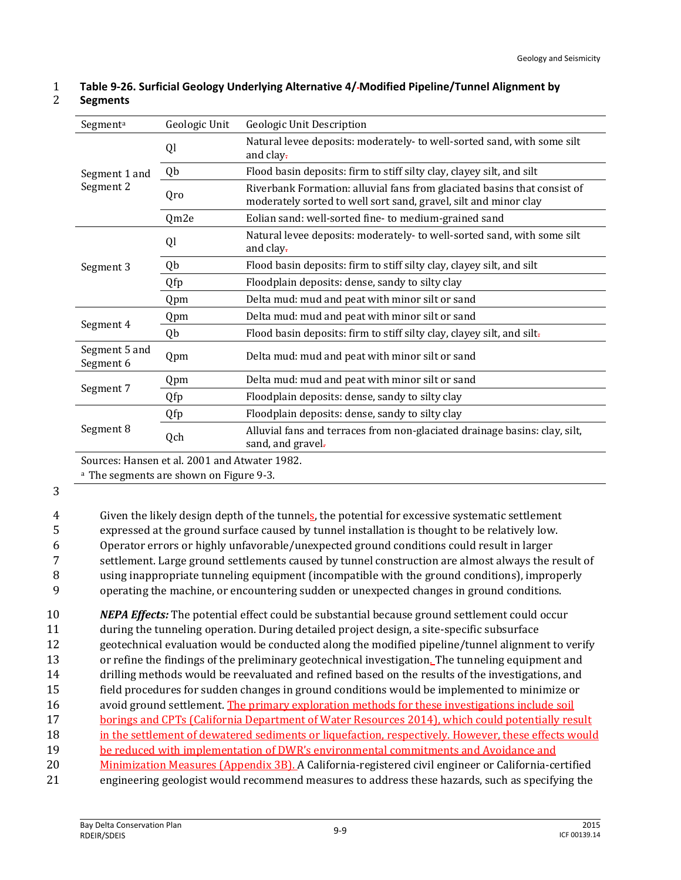| Segment <sup>a</sup>       | Geologic Unit                                 | Geologic Unit Description                                                                                                                    |
|----------------------------|-----------------------------------------------|----------------------------------------------------------------------------------------------------------------------------------------------|
| Segment 1 and<br>Segment 2 | Ql                                            | Natural levee deposits: moderately-to well-sorted sand, with some silt<br>and clay-                                                          |
|                            | Qb                                            | Flood basin deposits: firm to stiff silty clay, clayey silt, and silt                                                                        |
|                            | Qro                                           | Riverbank Formation: alluvial fans from glaciated basins that consist of<br>moderately sorted to well sort sand, gravel, silt and minor clay |
|                            | Qm2e                                          | Eolian sand: well-sorted fine-to medium-grained sand                                                                                         |
| Segment 3                  | Ql                                            | Natural levee deposits: moderately-to well-sorted sand, with some silt<br>and clay.                                                          |
|                            | Qb                                            | Flood basin deposits: firm to stiff silty clay, clayey silt, and silt                                                                        |
|                            | Qfp                                           | Floodplain deposits: dense, sandy to silty clay                                                                                              |
|                            | Qpm                                           | Delta mud: mud and peat with minor silt or sand                                                                                              |
| Segment 4                  | Qpm                                           | Delta mud: mud and peat with minor silt or sand                                                                                              |
|                            | Qb                                            | Flood basin deposits: firm to stiff silty clay, clayey silt, and silt-                                                                       |
| Segment 5 and<br>Segment 6 | Qpm                                           | Delta mud: mud and peat with minor silt or sand                                                                                              |
| Segment 7                  | Qpm                                           | Delta mud: mud and peat with minor silt or sand                                                                                              |
|                            | Qfp                                           | Floodplain deposits: dense, sandy to silty clay                                                                                              |
| Segment 8                  | Qfp                                           | Floodplain deposits: dense, sandy to silty clay                                                                                              |
|                            | Qch                                           | Alluvial fans and terraces from non-glaciated drainage basins: clay, silt,<br>sand, and gravel.                                              |
|                            | Sources: Hansen et al. 2001 and Atwater 1982. |                                                                                                                                              |

#### 1 **Table 9-26. Surficial Geology Underlying Alternative 4/ Modified Pipeline/Tunnel Alignment by**  2 **Segments**

<sup>a</sup> The segments are shown on Figure 9-3.

#### 3

 Given the likely design depth of the tunnels, the potential for excessive systematic settlement expressed at the ground surface caused by tunnel installation is thought to be relatively low. Operator errors or highly unfavorable/unexpected ground conditions could result in larger settlement. Large ground settlements caused by tunnel construction are almost always the result of using inappropriate tunneling equipment (incompatible with the ground conditions), improperly

9 operating the machine, or encountering sudden or unexpected changes in ground conditions.

 *NEPA Effects:* The potential effect could be substantial because ground settlement could occur during the tunneling operation. During detailed project design, a site-specific subsurface geotechnical evaluation would be conducted along the modified pipeline/tunnel alignment to verify or refine the findings of the preliminary geotechnical investigation. The tunneling equipment and drilling methods would be reevaluated and refined based on the results of the investigations, and field procedures for sudden changes in ground conditions would be implemented to minimize or

- 16 avoid ground settlement. The primary exploration methods for these investigations include soil
- 17 borings and CPTs (California Department of Water Resources 2014), which could potentially result
- 18 in the settlement of dewatered sediments or liquefaction, respectively. However, these effects would
- 19 be reduced with implementation of DWR's environmental commitments and Avoidance and
- 20 Minimization Measures (Appendix 3B). A California-registered civil engineer or California-certified
- 21 engineering geologist would recommend measures to address these hazards, such as specifying the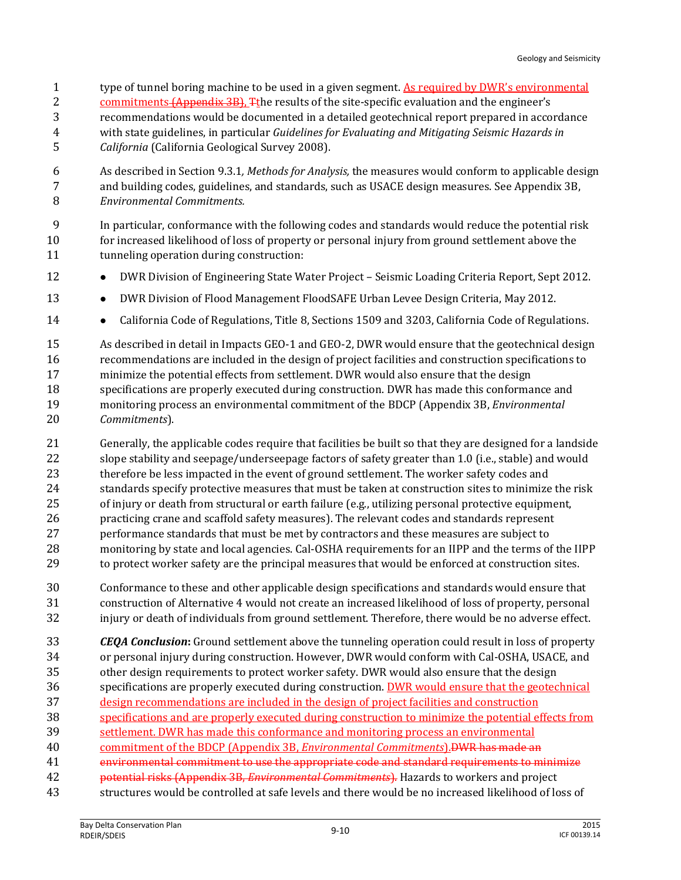- type of tunnel boring machine to be used in a given segment. As required by DWR's environmental
- 2 commitments (Appendix 3B), The results of the site-specific evaluation and the engineer's
- recommendations would be documented in a detailed geotechnical report prepared in accordance
- with state guidelines, in particular *Guidelines for Evaluating and Mitigating Seismic Hazards in*
- *California* (California Geological Survey 2008).
- As described in Section 9.3.1*, Methods for Analysis,* the measures would conform to applicable design and building codes, guidelines, and standards, such as USACE design measures. See Appendix 3B, *Environmental Commitments.*
- In particular, conformance with the following codes and standards would reduce the potential risk for increased likelihood of loss of property or personal injury from ground settlement above the tunneling operation during construction:
- 12 DWR Division of Engineering State Water Project Seismic Loading Criteria Report, Sept 2012.
- **••** DWR Division of Flood Management FloodSAFE Urban Levee Design Criteria, May 2012.
- **••** California Code of Regulations, Title 8, Sections 1509 and 3203, California Code of Regulations.
- As described in detail in Impacts GEO-1 and GEO-2, DWR would ensure that the geotechnical design recommendations are included in the design of project facilities and construction specifications to minimize the potential effects from settlement. DWR would also ensure that the design specifications are properly executed during construction. DWR has made this conformance and monitoring process an environmental commitment of the BDCP (Appendix 3B, *Environmental Commitments*).
- Generally, the applicable codes require that facilities be built so that they are designed for a landside slope stability and seepage/underseepage factors of safety greater than 1.0 (i.e., stable) and would therefore be less impacted in the event of ground settlement. The worker safety codes and standards specify protective measures that must be taken at construction sites to minimize the risk of injury or death from structural or earth failure (e.g., utilizing personal protective equipment, practicing crane and scaffold safety measures). The relevant codes and standards represent performance standards that must be met by contractors and these measures are subject to monitoring by state and local agencies. Cal-OSHA requirements for an IIPP and the terms of the IIPP to protect worker safety are the principal measures that would be enforced at construction sites.
- Conformance to these and other applicable design specifications and standards would ensure that construction of Alternative 4 would not create an increased likelihood of loss of property, personal injury or death of individuals from ground settlement. Therefore, there would be no adverse effect.
- *CEQA Conclusion***:** Ground settlement above the tunneling operation could result in loss of property
- or personal injury during construction. However, DWR would conform with Cal-OSHA, USACE, and
- other design requirements to protect worker safety. DWR would also ensure that the design specifications are properly executed during construction. DWR would ensure that the geotechnical
- design recommendations are included in the design of project facilities and construction
- specifications and are properly executed during construction to minimize the potential effects from
- settlement. DWR has made this conformance and monitoring process an environmental
- commitment of the BDCP (Appendix 3B, *Environmental Commitments*).DWR has made an
- environmental commitment to use the appropriate code and standard requirements to minimize
- potential risks (Appendix 3B, *Environmental Commitments*). Hazards to workers and project
- structures would be controlled at safe levels and there would be no increased likelihood of loss of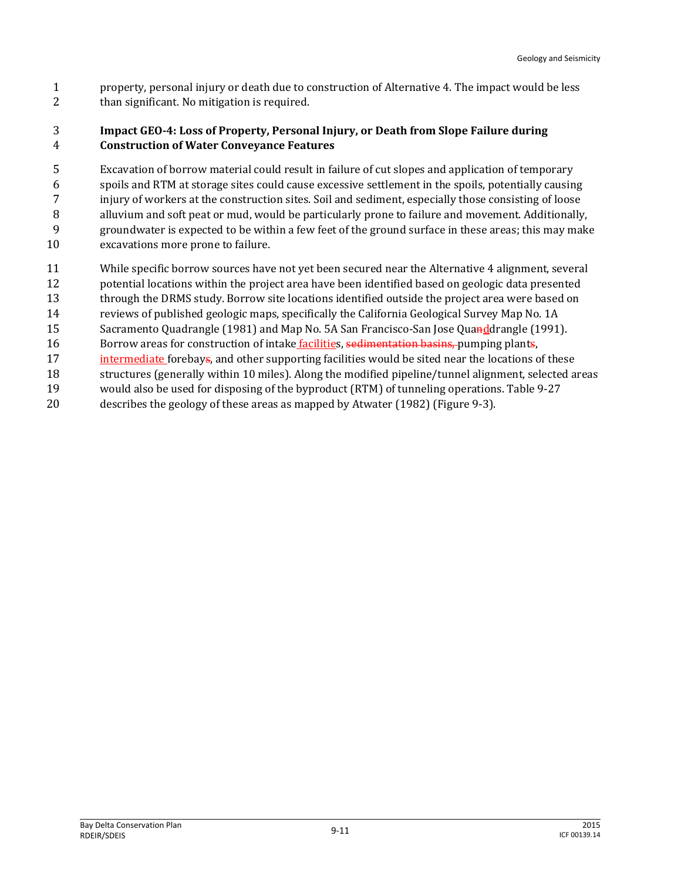property, personal injury or death due to construction of Alternative 4. The impact would be less than significant. No mitigation is required.

#### **Impact GEO-4: Loss of Property, Personal Injury, or Death from Slope Failure during Construction of Water Conveyance Features**

 Excavation of borrow material could result in failure of cut slopes and application of temporary spoils and RTM at storage sites could cause excessive settlement in the spoils, potentially causing injury of workers at the construction sites. Soil and sediment, especially those consisting of loose alluvium and soft peat or mud, would be particularly prone to failure and movement. Additionally, groundwater is expected to be within a few feet of the ground surface in these areas; this may make excavations more prone to failure.

- While specific borrow sources have not yet been secured near the Alternative 4 alignment, several
- potential locations within the project area have been identified based on geologic data presented
- through the DRMS study. Borrow site locations identified outside the project area were based on
- reviews of published geologic maps, specifically the California Geological Survey Map No. 1A
- 15 Sacramento Quadrangle (1981) and Map No. 5A San Francisco-San Jose Quanddrangle (1991). 16 Borrow areas for construction of intake facilities, sedimentation basins, pumping plants,
- 17 intermediate forebays, and other supporting facilities would be sited near the locations of these
- structures (generally within 10 miles). Along the modified pipeline/tunnel alignment, selected areas
- would also be used for disposing of the byproduct (RTM) of tunneling operations. Table 9-27
- describes the geology of these areas as mapped by Atwater (1982) (Figure 9-3).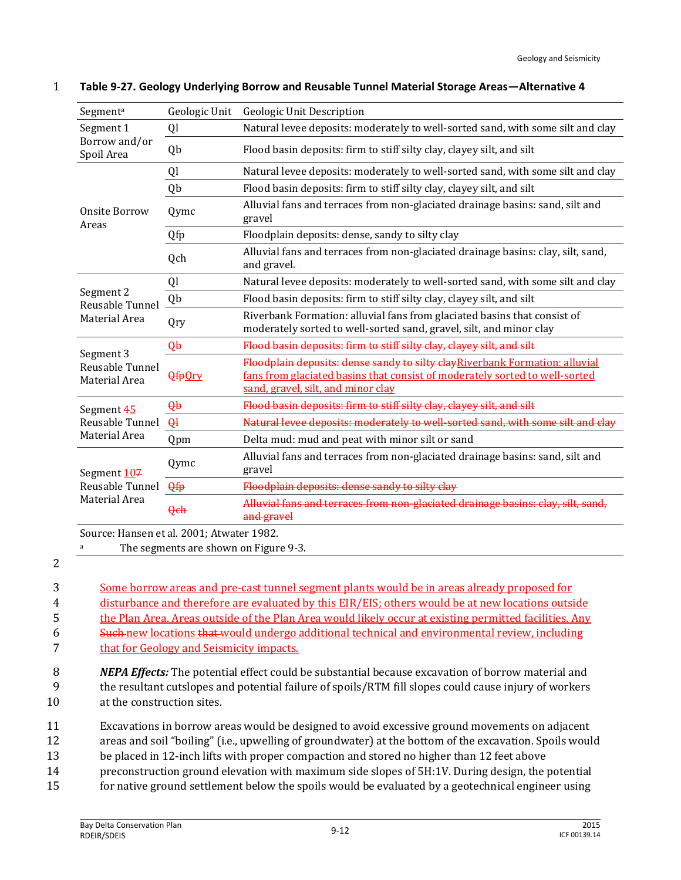| Segment <sup>a</sup>                            | Geologic Unit | Geologic Unit Description                                                                                                                                                                        |  |  |
|-------------------------------------------------|---------------|--------------------------------------------------------------------------------------------------------------------------------------------------------------------------------------------------|--|--|
| Segment 1<br>Borrow and/or<br>Spoil Area        | Ql            | Natural levee deposits: moderately to well-sorted sand, with some silt and clay                                                                                                                  |  |  |
|                                                 | Qb            | Flood basin deposits: firm to stiff silty clay, clayey silt, and silt                                                                                                                            |  |  |
| Onsite Borrow<br>Areas                          | Ql            | Natural levee deposits: moderately to well-sorted sand, with some silt and clay                                                                                                                  |  |  |
|                                                 | Qb            | Flood basin deposits: firm to stiff silty clay, clayey silt, and silt                                                                                                                            |  |  |
|                                                 | Qymc          | Alluvial fans and terraces from non-glaciated drainage basins: sand, silt and<br>gravel                                                                                                          |  |  |
|                                                 | Qfp           | Floodplain deposits: dense, sandy to silty clay                                                                                                                                                  |  |  |
|                                                 | Qch           | Alluvial fans and terraces from non-glaciated drainage basins: clay, silt, sand,<br>and gravel.                                                                                                  |  |  |
| Segment 2<br>Reusable Tunnel<br>Material Area   | Ql            | Natural levee deposits: moderately to well-sorted sand, with some silt and clay                                                                                                                  |  |  |
|                                                 | Qb            | Flood basin deposits: firm to stiff silty clay, clayey silt, and silt                                                                                                                            |  |  |
|                                                 | Qry           | Riverbank Formation: alluvial fans from glaciated basins that consist of<br>moderately sorted to well-sorted sand, gravel, silt, and minor clay                                                  |  |  |
| Segment 3<br>Reusable Tunnel<br>Material Area   | $\theta$      | Flood basin deposits: firm to stiff silty clay, clayey silt, and silt                                                                                                                            |  |  |
|                                                 | <b>QfpOry</b> | Floodplain deposits: dense sandy to silty clayRiverbank Formation: alluvial<br>fans from glaciated basins that consist of moderately sorted to well-sorted<br>sand, gravel, silt, and minor clay |  |  |
| Segment 45<br>Reusable Tunnel<br>Material Area  | $\theta$      | Flood basin deposits: firm to stiff silty clay, clayey silt, and silt                                                                                                                            |  |  |
|                                                 | $\theta$      | Natural levee deposits: moderately to well-sorted sand, with some silt and clay                                                                                                                  |  |  |
|                                                 | Qpm           | Delta mud: mud and peat with minor silt or sand                                                                                                                                                  |  |  |
| Segment 107<br>Reusable Tunnel<br>Material Area | Qymc          | Alluvial fans and terraces from non-glaciated drainage basins: sand, silt and<br>gravel                                                                                                          |  |  |
|                                                 | Qfp           | Floodplain deposits: dense sandy to silty clay                                                                                                                                                   |  |  |
|                                                 | Qch           | Alluvial fans and terraces from non-glaciated drainage basins: clay, silt, sand,<br>and gravel                                                                                                   |  |  |
| Source: Hansen et al. 2001; Atwater 1982.       |               |                                                                                                                                                                                                  |  |  |
| The segments are shown on Figure 9-3.           |               |                                                                                                                                                                                                  |  |  |

#### 1 **Table 9-27. Geology Underlying Borrow and Reusable Tunnel Material Storage Areas—Alternative 4**

2

| 3 | Some borrow areas and pre-cast tunnel segment plants would be in areas already proposed for            |
|---|--------------------------------------------------------------------------------------------------------|
| 4 | disturbance and therefore are evaluated by this EIR/EIS; others would be at new locations outside      |
| 5 | the Plan Area. Areas outside of the Plan Area would likely occur at existing permitted facilities. Any |
| 6 | Such new locations that would undergo additional technical and environmental review, including         |
|   | that for Geology and Seismicity impacts.                                                               |

8 *NEPA Effects:* The potential effect could be substantial because excavation of borrow material and 9 the resultant cutslopes and potential failure of spoils/RTM fill slopes could cause injury of workers 10 at the construction sites.

- 11 Excavations in borrow areas would be designed to avoid excessive ground movements on adjacent
- 12 areas and soil "boiling" (i.e., upwelling of groundwater) at the bottom of the excavation. Spoils would
- 13 be placed in 12-inch lifts with proper compaction and stored no higher than 12 feet above
- 14 preconstruction ground elevation with maximum side slopes of 5H:1V. During design, the potential
- 15 for native ground settlement below the spoils would be evaluated by a geotechnical engineer using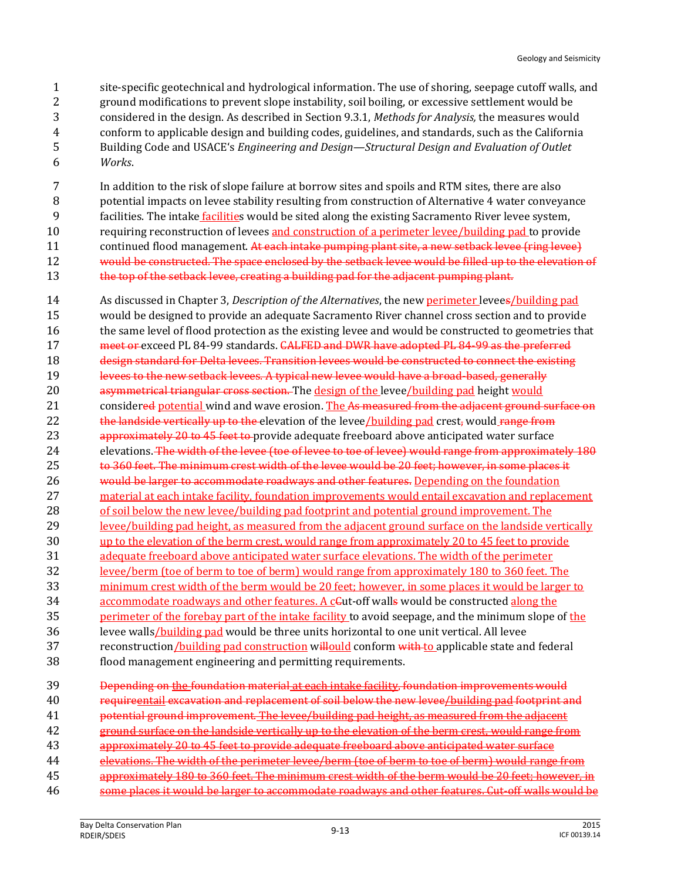site-specific geotechnical and hydrological information. The use of shoring, seepage cutoff walls, and ground modifications to prevent slope instability, soil boiling, or excessive settlement would be considered in the design. As described in Section 9.3.1, *Methods for Analysis,* the measures would conform to applicable design and building codes, guidelines, and standards, such as the California Building Code and USACE's *Engineering and Design—Structural Design and Evaluation of Outlet*  6 *Works*.

 In addition to the risk of slope failure at borrow sites and spoils and RTM sites, there are also potential impacts on levee stability resulting from construction of Alternative 4 water conveyance facilities. The intake facilities would be sited along the existing Sacramento River levee system, requiring reconstruction of levees and construction of a perimeter levee/building pad to provide 11 continued flood management. At each intake pumping plant site, a new setback levee (ring levee) would be constructed. The space enclosed by the setback levee would be filled up to the elevation of 13 the top of the setback levee, creating a building pad for the adjacent pumping plant.

14 As discussed in Chapter 3, *Description of the Alternatives*, the new perimeter levees/building pad 15 would be designed to provide an adequate Sacramento River channel cross section and to provide 16 the same level of flood protection as the existing levee and would be constructed to geometries that 17 meet or exceed PL 84-99 standards. CALFED and DWR have adopted PL 84-99 as the preferred 18 design standard for Delta levees. Transition levees would be constructed to connect the existing 19 levees to the new setback levees. A typical new levee would have a broad-based, generally 20 asymmetrical triangular cross section. The design of the levee/building pad height would 21 considered potential wind and wave erosion. The As measured from the adjacent ground surface on 22 the landside vertically up to the elevation of the levee/building pad crest, would range from 23 approximately 20 to 45 feet to provide adequate freeboard above anticipated water surface 24 elevations. The width of the levee (toe of levee to toe of levee) would range from approximately 180 25 to 360 feet. The minimum crest width of the levee would be 20 feet; however, in some places it 26 would be larger to accommodate roadways and other features. Depending on the foundation 27 material at each intake facility, foundation improvements would entail excavation and replacement 28 of soil below the new levee/building pad footprint and potential ground improvement. The 29 levee/building pad height, as measured from the adjacent ground surface on the landside vertically 30 up to the elevation of the berm crest, would range from approximately 20 to 45 feet to provide 31 adequate freeboard above anticipated water surface elevations. The width of the perimeter 32 levee/berm (toe of berm to toe of berm) would range from approximately 180 to 360 feet. The 33 minimum crest width of the berm would be 20 feet; however, in some places it would be larger to 34 accommodate roadways and other features. A c Gut-off walls would be constructed along the 35 perimeter of the forebay part of the intake facility to avoid seepage, and the minimum slope of the 36 levee walls/building pad would be three units horizontal to one unit vertical. All levee 37 reconstruction/building pad construction willould conform with to applicable state and federal 38 flood management engineering and permitting requirements. 39 Depending on the foundation material at each intake facility, foundation improvements would 40 requireentail excavation and replacement of soil below the new levee/building pad footprint and 41 potential ground improvement. The levee/building pad height, as measured from the adjacent 42 ground surface on the landside vertically up to the elevation of the berm crest, would range from 43 approximately 20 to 45 feet to provide adequate freeboard above anticipated water surface

- 44 elevations. The width of the perimeter levee/berm (toe of berm to toe of berm) would range from 45 approximately 180 to 360 feet. The minimum crest width of the berm would be 20 feet; however, in
- 46 some places it would be larger to accommodate roadways and other features. Cut-off walls would be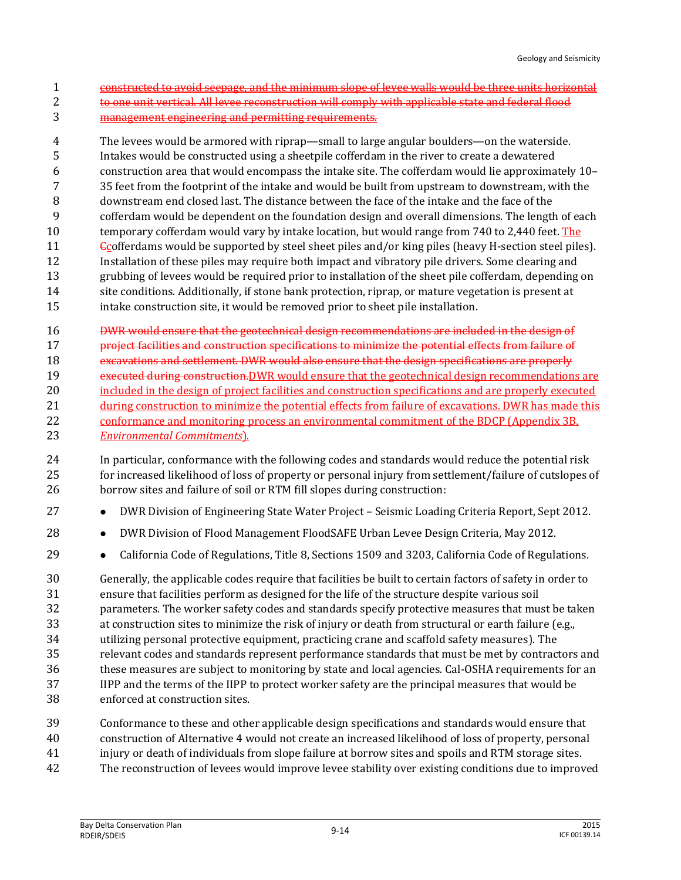- constructed to avoid seepage, and the minimum slope of levee walls would be three units horizontal
- to one unit vertical. All levee reconstruction will comply with applicable state and federal flood
- management engineering and permitting requirements.

 The levees would be armored with riprap—small to large angular boulders—on the waterside. Intakes would be constructed using a sheetpile cofferdam in the river to create a dewatered construction area that would encompass the intake site. The cofferdam would lie approximately 10– 35 feet from the footprint of the intake and would be built from upstream to downstream, with the downstream end closed last. The distance between the face of the intake and the face of the cofferdam would be dependent on the foundation design and overall dimensions. The length of each temporary cofferdam would vary by intake location, but would range from 740 to 2,440 feet. The Ccofferdams would be supported by steel sheet piles and/or king piles (heavy H-section steel piles). Installation of these piles may require both impact and vibratory pile drivers. Some clearing and grubbing of levees would be required prior to installation of the sheet pile cofferdam, depending on site conditions. Additionally, if stone bank protection, riprap, or mature vegetation is present at intake construction site, it would be removed prior to sheet pile installation.

DWR would ensure that the geotechnical design recommendations are included in the design of

project facilities and construction specifications to minimize the potential effects from failure of

- 18 excavations and settlement. DWR would also ensure that the design specifications are properly 19 executed during construction. DWR would ensure that the geotechnical design recommendations are 20 included in the design of project facilities and construction specifications and are properly executed during construction to minimize the potential effects from failure of excavations. DWR has made this conformance and monitoring process an environmental commitment of the BDCP (Appendix 3B,
- *Environmental Commitments*).
- In particular, conformance with the following codes and standards would reduce the potential risk for increased likelihood of loss of property or personal injury from settlement/failure of cutslopes of borrow sites and failure of soil or RTM fill slopes during construction:
- **DWR Division of Engineering State Water Project Seismic Loading Criteria Report, Sept 2012.**
- **••** DWR Division of Flood Management FloodSAFE Urban Levee Design Criteria, May 2012.
- **•** California Code of Regulations, Title 8, Sections 1509 and 3203, California Code of Regulations.

 Generally, the applicable codes require that facilities be built to certain factors of safety in order to ensure that facilities perform as designed for the life of the structure despite various soil parameters. The worker safety codes and standards specify protective measures that must be taken at construction sites to minimize the risk of injury or death from structural or earth failure (e.g., utilizing personal protective equipment, practicing crane and scaffold safety measures). The relevant codes and standards represent performance standards that must be met by contractors and these measures are subject to monitoring by state and local agencies. Cal-OSHA requirements for an IIPP and the terms of the IIPP to protect worker safety are the principal measures that would be enforced at construction sites.

- Conformance to these and other applicable design specifications and standards would ensure that
- construction of Alternative 4 would not create an increased likelihood of loss of property, personal
- injury or death of individuals from slope failure at borrow sites and spoils and RTM storage sites.
- The reconstruction of levees would improve levee stability over existing conditions due to improved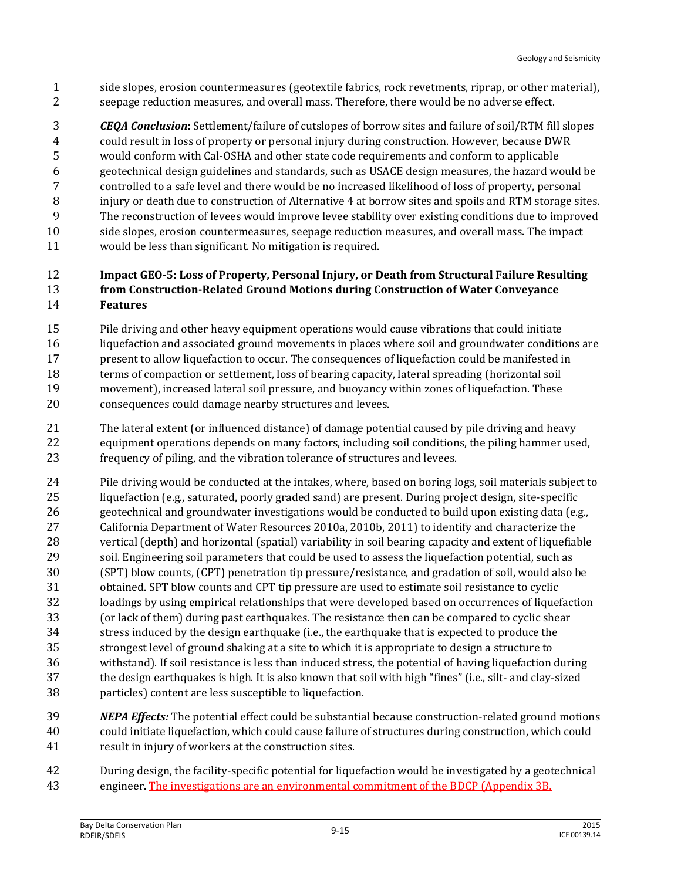side slopes, erosion countermeasures (geotextile fabrics, rock revetments, riprap, or other material), seepage reduction measures, and overall mass. Therefore, there would be no adverse effect.

 *CEQA Conclusion***:** Settlement/failure of cutslopes of borrow sites and failure of soil/RTM fill slopes could result in loss of property or personal injury during construction. However, because DWR would conform with Cal-OSHA and other state code requirements and conform to applicable geotechnical design guidelines and standards, such as USACE design measures, the hazard would be controlled to a safe level and there would be no increased likelihood of loss of property, personal injury or death due to construction of Alternative 4 at borrow sites and spoils and RTM storage sites. The reconstruction of levees would improve levee stability over existing conditions due to improved side slopes, erosion countermeasures, seepage reduction measures, and overall mass. The impact would be less than significant. No mitigation is required.

#### **Impact GEO-5: Loss of Property, Personal Injury, or Death from Structural Failure Resulting from Construction-Related Ground Motions during Construction of Water Conveyance Features**

- Pile driving and other heavy equipment operations would cause vibrations that could initiate
- liquefaction and associated ground movements in places where soil and groundwater conditions are present to allow liquefaction to occur. The consequences of liquefaction could be manifested in terms of compaction or settlement, loss of bearing capacity, lateral spreading (horizontal soil movement), increased lateral soil pressure, and buoyancy within zones of liquefaction. These consequences could damage nearby structures and levees.
- The lateral extent (or influenced distance) of damage potential caused by pile driving and heavy equipment operations depends on many factors, including soil conditions, the piling hammer used, frequency of piling, and the vibration tolerance of structures and levees.
- Pile driving would be conducted at the intakes, where, based on boring logs, soil materials subject to liquefaction (e.g., saturated, poorly graded sand) are present. During project design, site-specific geotechnical and groundwater investigations would be conducted to build upon existing data (e.g., California Department of Water Resources 2010a, 2010b, 2011) to identify and characterize the vertical (depth) and horizontal (spatial) variability in soil bearing capacity and extent of liquefiable soil. Engineering soil parameters that could be used to assess the liquefaction potential, such as (SPT) blow counts, (CPT) penetration tip pressure/resistance, and gradation of soil, would also be obtained. SPT blow counts and CPT tip pressure are used to estimate soil resistance to cyclic loadings by using empirical relationships that were developed based on occurrences of liquefaction (or lack of them) during past earthquakes. The resistance then can be compared to cyclic shear stress induced by the design earthquake (i.e., the earthquake that is expected to produce the strongest level of ground shaking at a site to which it is appropriate to design a structure to withstand). If soil resistance is less than induced stress, the potential of having liquefaction during the design earthquakes is high. It is also known that soil with high "fines" (i.e., silt- and clay-sized particles) content are less susceptible to liquefaction.
- *NEPA Effects:* The potential effect could be substantial because construction-related ground motions could initiate liquefaction, which could cause failure of structures during construction, which could result in injury of workers at the construction sites.
- During design, the facility-specific potential for liquefaction would be investigated by a geotechnical engineer. The investigations are an environmental commitment of the BDCP (Appendix 3B,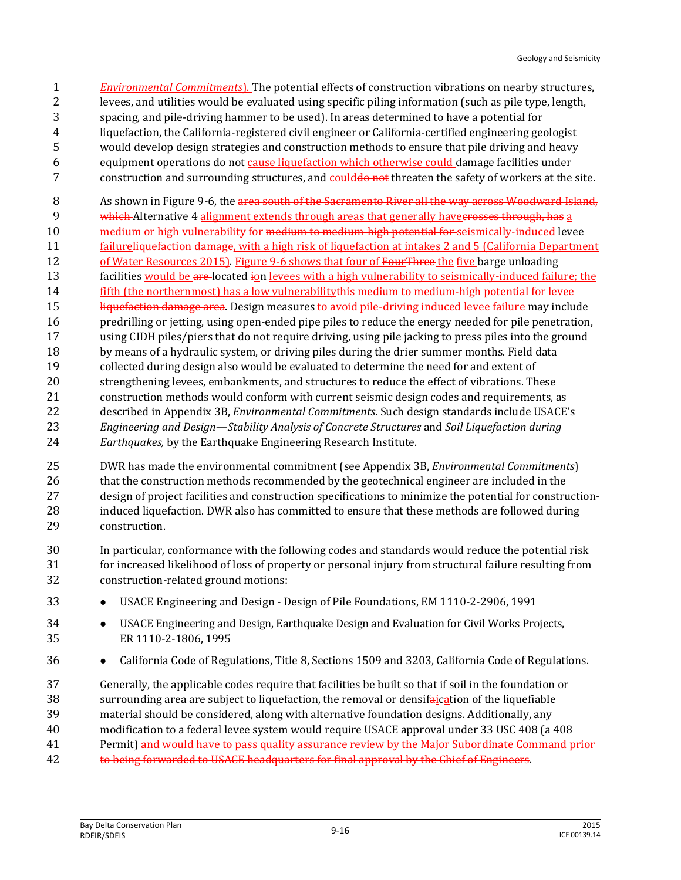- *Environmental Commitments*). The potential effects of construction vibrations on nearby structures, levees, and utilities would be evaluated using specific piling information (such as pile type, length, spacing, and pile-driving hammer to be used). In areas determined to have a potential for liquefaction, the California-registered civil engineer or California-certified engineering geologist would develop design strategies and construction methods to ensure that pile driving and heavy equipment operations do not cause liquefaction which otherwise could damage facilities under 7 construction and surrounding structures, and could a not threaten the safety of workers at the site.
- 8 As shown in Figure 9-6, the area south of the Sacramento River all the way across Woodward Island,
- 9 which Alternative 4 alignment extends through areas that generally have erosses through, has a
- 10 medium or high vulnerability for <del>medium to medium-high potential for</del> seismically-induced levee
- failureliquefaction damage, with a high risk of liquefaction at intakes 2 and 5 (California Department 12 of Water Resources 2015). Figure 9-6 shows that four of FourThree the five barge unloading
- 13 facilities would be a re-located ion levees with a high vulnerability to seismically-induced failure; the
- fifth (the northernmost) has a low vulnerabilitythis medium to medium-high potential for levee
- 15 liquefaction damage area. Design measures to avoid pile-driving induced levee failure may include
- predrilling or jetting, using open-ended pipe piles to reduce the energy needed for pile penetration,
- using CIDH piles/piers that do not require driving, using pile jacking to press piles into the ground by means of a hydraulic system, or driving piles during the drier summer months. Field data
- collected during design also would be evaluated to determine the need for and extent of strengthening levees, embankments, and structures to reduce the effect of vibrations. These construction methods would conform with current seismic design codes and requirements, as described in Appendix 3B, *Environmental Commitments*. Such design standards include USACE's *Engineering and Design—Stability Analysis of Concrete Structures* and *Soil Liquefaction during*
- *Earthquakes,* by the Earthquake Engineering Research Institute.
- DWR has made the environmental commitment (see Appendix 3B, *Environmental Commitments*) 26 that the construction methods recommended by the geotechnical engineer are included in the design of project facilities and construction specifications to minimize the potential for construction- induced liquefaction. DWR also has committed to ensure that these methods are followed during construction.
- In particular, conformance with the following codes and standards would reduce the potential risk for increased likelihood of loss of property or personal injury from structural failure resulting from construction-related ground motions:
- USACE Engineering and Design Design of Pile Foundations, EM 1110-2-2906, 1991
- **••** USACE Engineering and Design, Earthquake Design and Evaluation for Civil Works Projects, ER 1110-2-1806, 1995
- **••** California Code of Regulations, Title 8, Sections 1509 and 3203, California Code of Regulations.
- Generally, the applicable codes require that facilities be built so that if soil in the foundation or 38 surrounding area are subject to liquefaction, the removal or densifaication of the liquefiable
- material should be considered, along with alternative foundation designs. Additionally, any
- modification to a federal levee system would require USACE approval under 33 USC 408 (a 408
- 41 Permit) and would have to pass quality assurance review by the Major Subordinate Command prior
- 42 to being forwarded to USACE headquarters for final approval by the Chief of Engineers.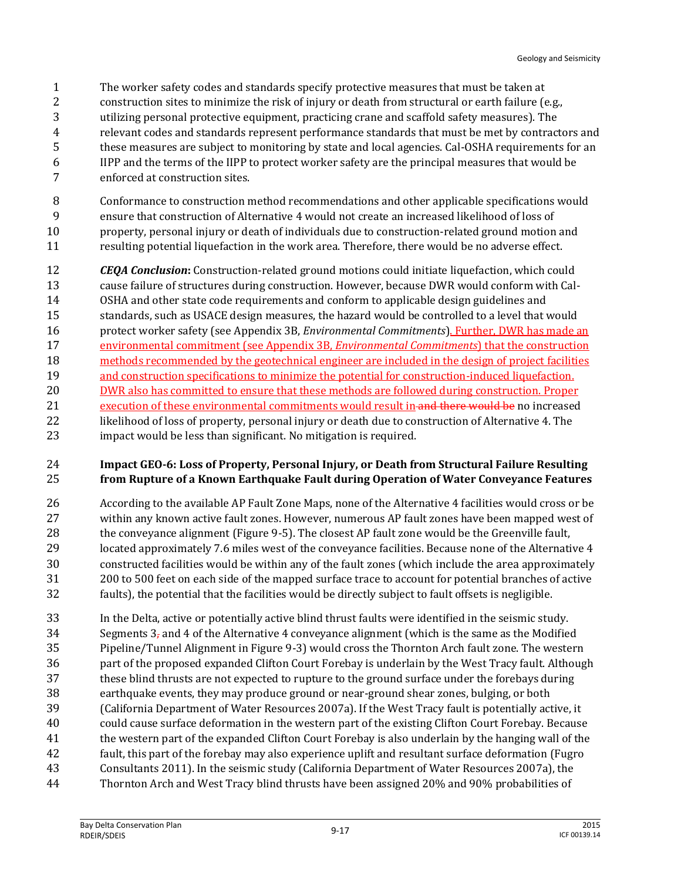- The worker safety codes and standards specify protective measures that must be taken at
- 2 construction sites to minimize the risk of injury or death from structural or earth failure (e.g.,
- utilizing personal protective equipment, practicing crane and scaffold safety measures). The
- relevant codes and standards represent performance standards that must be met by contractors and
- these measures are subject to monitoring by state and local agencies. Cal-OSHA requirements for an
- IIPP and the terms of the IIPP to protect worker safety are the principal measures that would be
- enforced at construction sites.
- Conformance to construction method recommendations and other applicable specifications would
- ensure that construction of Alternative 4 would not create an increased likelihood of loss of property, personal injury or death of individuals due to construction-related ground motion and
- resulting potential liquefaction in the work area. Therefore, there would be no adverse effect.
- **CEQA Conclusion:** Construction-related ground motions could initiate liquefaction, which could cause failure of structures during construction. However, because DWR would conform with Cal- OSHA and other state code requirements and conform to applicable design guidelines and standards, such as USACE design measures, the hazard would be controlled to a level that would protect worker safety (see Appendix 3B, *Environmental Commitments*). Further, DWR has made an environmental commitment (see Appendix 3B, *Environmental Commitments*) that the construction methods recommended by the geotechnical engineer are included in the design of project facilities and construction specifications to minimize the potential for construction-induced liquefaction. 20 DWR also has committed to ensure that these methods are followed during construction. Proper 21 execution of these environmental commitments would result in and there would be no increased likelihood of loss of property, personal injury or death due to construction of Alternative 4. The impact would be less than significant. No mitigation is required.

#### **Impact GEO-6: Loss of Property, Personal Injury, or Death from Structural Failure Resulting from Rupture of a Known Earthquake Fault during Operation of Water Conveyance Features**

- According to the available AP Fault Zone Maps, none of the Alternative 4 facilities would cross or be within any known active fault zones. However, numerous AP fault zones have been mapped west of the conveyance alignment (Figure 9-5). The closest AP fault zone would be the Greenville fault, located approximately 7.6 miles west of the conveyance facilities. Because none of the Alternative 4 constructed facilities would be within any of the fault zones (which include the area approximately 200 to 500 feet on each side of the mapped surface trace to account for potential branches of active faults), the potential that the facilities would be directly subject to fault offsets is negligible.
- In the Delta, active or potentially active blind thrust faults were identified in the seismic study. 34 Segments  $3<sub>z</sub>$  and 4 of the Alternative 4 conveyance alignment (which is the same as the Modified Pipeline/Tunnel Alignment in Figure 9-3) would cross the Thornton Arch fault zone. The western part of the proposed expanded Clifton Court Forebay is underlain by the West Tracy fault. Although these blind thrusts are not expected to rupture to the ground surface under the forebays during earthquake events, they may produce ground or near-ground shear zones, bulging, or both (California Department of Water Resources 2007a). If the West Tracy fault is potentially active, it could cause surface deformation in the western part of the existing Clifton Court Forebay. Because the western part of the expanded Clifton Court Forebay is also underlain by the hanging wall of the fault, this part of the forebay may also experience uplift and resultant surface deformation (Fugro Consultants 2011). In the seismic study (California Department of Water Resources 2007a), the
- Thornton Arch and West Tracy blind thrusts have been assigned 20% and 90% probabilities of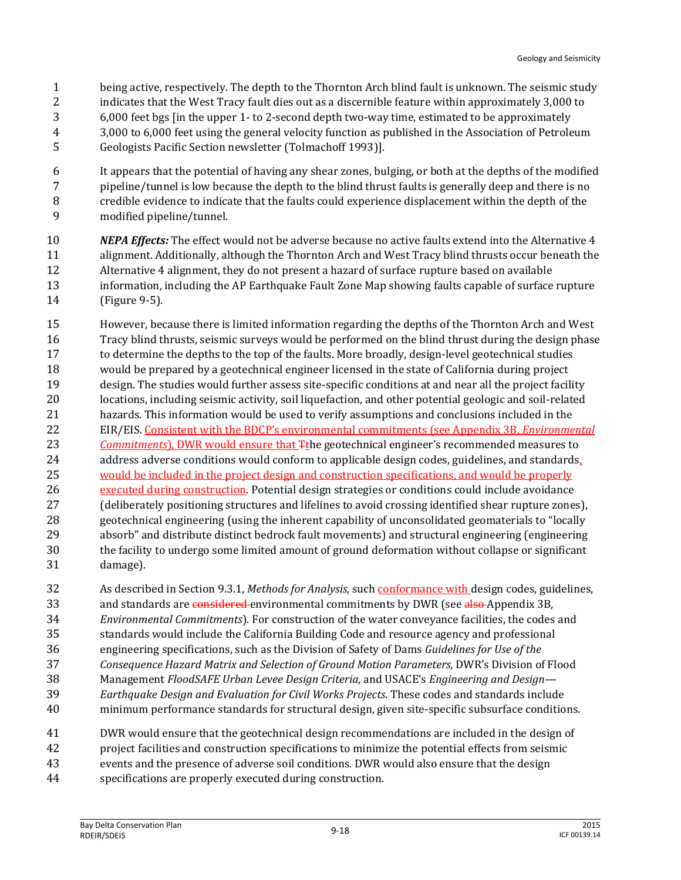- being active, respectively. The depth to the Thornton Arch blind fault is unknown. The seismic study indicates that the West Tracy fault dies out as a discernible feature within approximately 3,000 to 6,000 feet bgs [in the upper 1- to 2-second depth two-way time, estimated to be approximately 3,000 to 6,000 feet using the general velocity function as published in the Association of Petroleum
- Geologists Pacific Section newsletter (Tolmachoff 1993)].
- It appears that the potential of having any shear zones, bulging, or both at the depths of the modified pipeline/tunnel is low because the depth to the blind thrust faults is generally deep and there is no credible evidence to indicate that the faults could experience displacement within the depth of the modified pipeline/tunnel.
- *NEPA Effects:* The effect would not be adverse because no active faults extend into the Alternative 4 alignment. Additionally, although the Thornton Arch and West Tracy blind thrusts occur beneath the Alternative 4 alignment, they do not present a hazard of surface rupture based on available information, including the AP Earthquake Fault Zone Map showing faults capable of surface rupture (Figure 9-5).
- However, because there is limited information regarding the depths of the Thornton Arch and West Tracy blind thrusts, seismic surveys would be performed on the blind thrust during the design phase to determine the depths to the top of the faults. More broadly, design-level geotechnical studies would be prepared by a geotechnical engineer licensed in the state of California during project design. The studies would further assess site-specific conditions at and near all the project facility locations, including seismic activity, soil liquefaction, and other potential geologic and soil-related hazards. This information would be used to verify assumptions and conclusions included in the EIR/EIS. Consistent with the BDCP's environmental commitments (see Appendix 3B, *Environmental Commitments*), DWR would ensure that Tthe geotechnical engineer's recommended measures to address adverse conditions would conform to applicable design codes, guidelines, and standards, would be included in the project design and construction specifications, and would be properly 26 executed during construction. Potential design strategies or conditions could include avoidance (deliberately positioning structures and lifelines to avoid crossing identified shear rupture zones), geotechnical engineering (using the inherent capability of unconsolidated geomaterials to "locally absorb" and distribute distinct bedrock fault movements) and structural engineering (engineering the facility to undergo some limited amount of ground deformation without collapse or significant damage).
- As described in Section 9.3.1, *Methods for Analysis,* such conformance with design codes, guidelines, 33 and standards are considered environmental commitments by DWR (see also Appendix 3B, *Environmental Commitments*). For construction of the water conveyance facilities, the codes and standards would include the California Building Code and resource agency and professional engineering specifications, such as the Division of Safety of Dams *Guidelines for Use of the Consequence Hazard Matrix and Selection of Ground Motion Parameters,* DWR's Division of Flood
- Management *FloodSAFE Urban Levee Design Criteria*, and USACE's *Engineering and Design—*
- *Earthquake Design and Evaluation for Civil Works Projects*. These codes and standards include
- minimum performance standards for structural design, given site-specific subsurface conditions.
- DWR would ensure that the geotechnical design recommendations are included in the design of
- project facilities and construction specifications to minimize the potential effects from seismic
- events and the presence of adverse soil conditions. DWR would also ensure that the design
- specifications are properly executed during construction.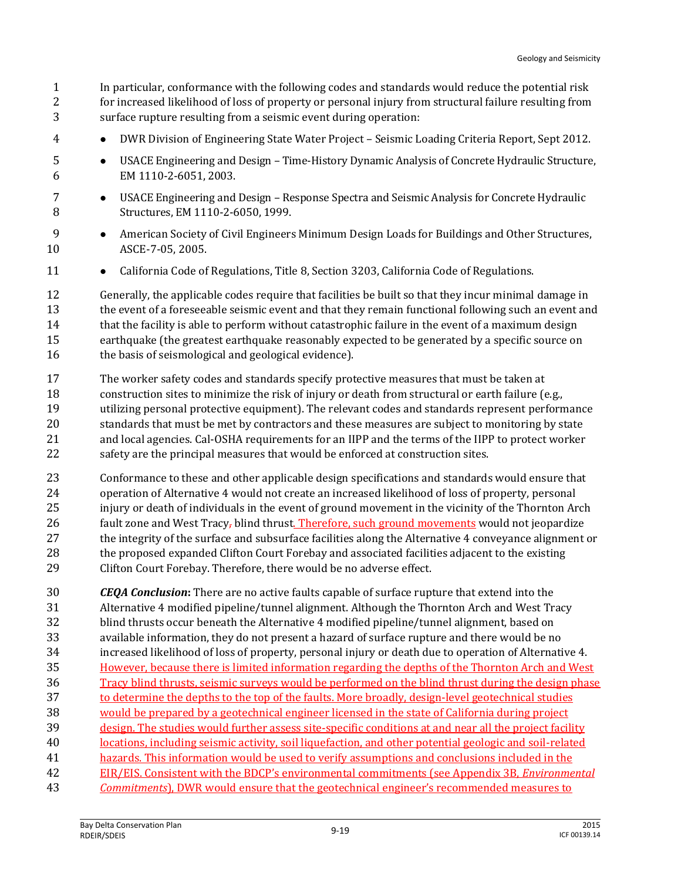In particular, conformance with the following codes and standards would reduce the potential risk for increased likelihood of loss of property or personal injury from structural failure resulting from surface rupture resulting from a seismic event during operation:

- DWR Division of Engineering State Water Project Seismic Loading Criteria Report, Sept 2012.
- USACE Engineering and Design Time-History Dynamic Analysis of Concrete Hydraulic Structure, EM 1110-2-6051, 2003.
- USACE Engineering and Design Response Spectra and Seismic Analysis for Concrete Hydraulic Structures, EM 1110-2-6050, 1999.
- **American Society of Civil Engineers Minimum Design Loads for Buildings and Other Structures,** ASCE-7-05, 2005.
- **•** California Code of Regulations, Title 8, Section 3203, California Code of Regulations.

 Generally, the applicable codes require that facilities be built so that they incur minimal damage in 13 the event of a foreseeable seismic event and that they remain functional following such an event and 14 that the facility is able to perform without catastrophic failure in the event of a maximum design earthquake (the greatest earthquake reasonably expected to be generated by a specific source on 16 the basis of seismological and geological evidence).

- The worker safety codes and standards specify protective measures that must be taken at construction sites to minimize the risk of injury or death from structural or earth failure (e.g., utilizing personal protective equipment). The relevant codes and standards represent performance standards that must be met by contractors and these measures are subject to monitoring by state and local agencies. Cal-OSHA requirements for an IIPP and the terms of the IIPP to protect worker safety are the principal measures that would be enforced at construction sites.
- Conformance to these and other applicable design specifications and standards would ensure that operation of Alternative 4 would not create an increased likelihood of loss of property, personal injury or death of individuals in the event of ground movement in the vicinity of the Thornton Arch 26 fault zone and West Tracy, blind thrust. Therefore, such ground movements would not jeopardize 27 the integrity of the surface and subsurface facilities along the Alternative 4 conveyance alignment or 28 the proposed expanded Clifton Court Forebay and associated facilities adjacent to the existing Clifton Court Forebay. Therefore, there would be no adverse effect.

 *CEQA Conclusion***:** There are no active faults capable of surface rupture that extend into the Alternative 4 modified pipeline/tunnel alignment. Although the Thornton Arch and West Tracy blind thrusts occur beneath the Alternative 4 modified pipeline/tunnel alignment, based on available information, they do not present a hazard of surface rupture and there would be no increased likelihood of loss of property, personal injury or death due to operation of Alternative 4. However, because there is limited information regarding the depths of the Thornton Arch and West Tracy blind thrusts, seismic surveys would be performed on the blind thrust during the design phase to determine the depths to the top of the faults. More broadly, design-level geotechnical studies would be prepared by a geotechnical engineer licensed in the state of California during project design. The studies would further assess site-specific conditions at and near all the project facility locations, including seismic activity, soil liquefaction, and other potential geologic and soil-related 41 hazards. This information would be used to verify assumptions and conclusions included in the EIR/EIS. Consistent with the BDCP's environmental commitments (see Appendix 3B, *Environmental Commitments*), DWR would ensure that the geotechnical engineer's recommended measures to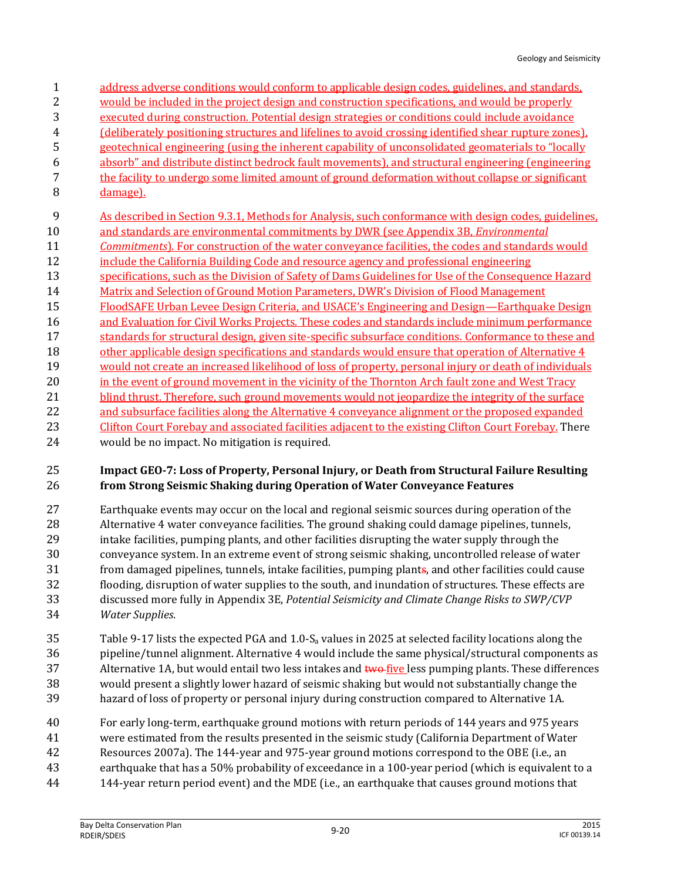- address adverse conditions would conform to applicable design codes, guidelines, and standards, would be included in the project design and construction specifications, and would be properly executed during construction. Potential design strategies or conditions could include avoidance (deliberately positioning structures and lifelines to avoid crossing identified shear rupture zones), geotechnical engineering (using the inherent capability of unconsolidated geomaterials to "locally absorb" and distribute distinct bedrock fault movements), and structural engineering (engineering the facility to undergo some limited amount of ground deformation without collapse or significant damage). As described in Section 9.3.1, Methods for Analysis, such conformance with design codes, guidelines,
- and standards are environmental commitments by DWR (see Appendix 3B, *Environmental*
- *Commitments*). For construction of the water conveyance facilities, the codes and standards would
- include the California Building Code and resource agency and professional engineering
- specifications, such as the Division of Safety of Dams Guidelines for Use of the Consequence Hazard
- 14 Matrix and Selection of Ground Motion Parameters, DWR's Division of Flood Management
- FloodSAFE Urban Levee Design Criteria, and USACE's Engineering and Design—Earthquake Design 16 and Evaluation for Civil Works Projects. These codes and standards include minimum performance
- 17 standards for structural design, given site-specific subsurface conditions. Conformance to these and other applicable design specifications and standards would ensure that operation of Alternative 4 would not create an increased likelihood of loss of property, personal injury or death of individuals 20 in the event of ground movement in the vicinity of the Thornton Arch fault zone and West Tracy
- 21 blind thrust. Therefore, such ground movements would not jeopardize the integrity of the surface and subsurface facilities along the Alternative 4 conveyance alignment or the proposed expanded 23 Clifton Court Forebay and associated facilities adjacent to the existing Clifton Court Forebay. There
- would be no impact. No mitigation is required.

#### **Impact GEO-7: Loss of Property, Personal Injury, or Death from Structural Failure Resulting from Strong Seismic Shaking during Operation of Water Conveyance Features**

- Earthquake events may occur on the local and regional seismic sources during operation of the Alternative 4 water conveyance facilities. The ground shaking could damage pipelines, tunnels, intake facilities, pumping plants, and other facilities disrupting the water supply through the conveyance system. In an extreme event of strong seismic shaking, uncontrolled release of water from damaged pipelines, tunnels, intake facilities, pumping plants, and other facilities could cause flooding, disruption of water supplies to the south, and inundation of structures. These effects are discussed more fully in Appendix 3E, *Potential Seismicity and Climate Change Risks to SWP/CVP Water Supplies*.
- Table 9-17 lists the expected PGA and 1.0-S<sup>a</sup> values in 2025 at selected facility locations along the pipeline/tunnel alignment. Alternative 4 would include the same physical/structural components as 37 Alternative 1A, but would entail two less intakes and two five less pumping plants. These differences would present a slightly lower hazard of seismic shaking but would not substantially change the hazard of loss of property or personal injury during construction compared to Alternative 1A.
- For early long-term, earthquake ground motions with return periods of 144 years and 975 years
- were estimated from the results presented in the seismic study (California Department of Water
- Resources 2007a). The 144-year and 975-year ground motions correspond to the OBE (i.e., an
- earthquake that has a 50% probability of exceedance in a 100-year period (which is equivalent to a
- 144-year return period event) and the MDE (i.e., an earthquake that causes ground motions that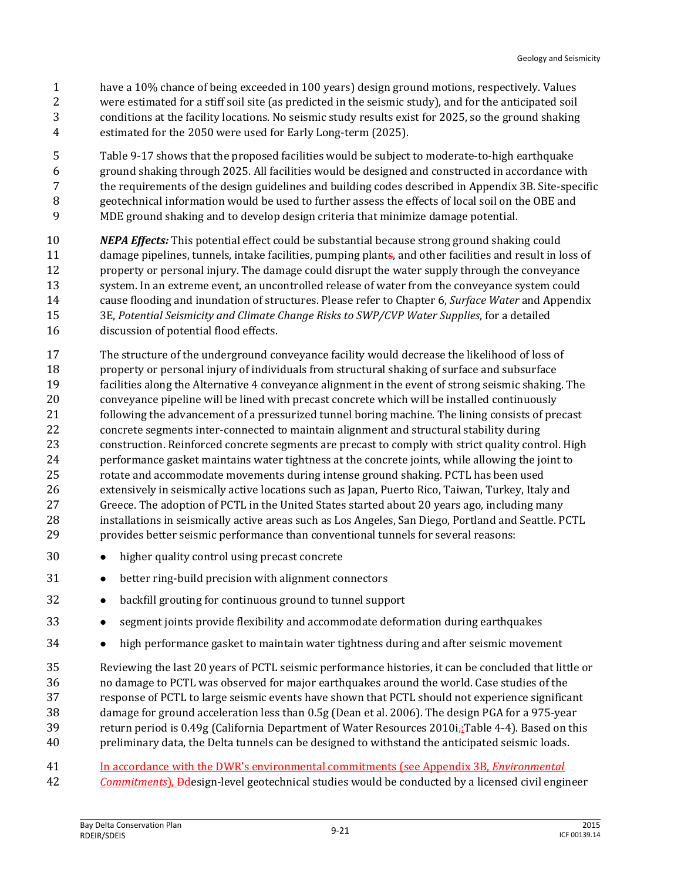- have a 10% chance of being exceeded in 100 years) design ground motions, respectively. Values were estimated for a stiff soil site (as predicted in the seismic study), and for the anticipated soil conditions at the facility locations. No seismic study results exist for 2025, so the ground shaking estimated for the 2050 were used for Early Long-term (2025).
- Table 9-17 shows that the proposed facilities would be subject to moderate-to-high earthquake ground shaking through 2025. All facilities would be designed and constructed in accordance with the requirements of the design guidelines and building codes described in Appendix 3B. Site-specific geotechnical information would be used to further assess the effects of local soil on the OBE and MDE ground shaking and to develop design criteria that minimize damage potential.
- *NEPA Effects:* This potential effect could be substantial because strong ground shaking could damage pipelines, tunnels, intake facilities, pumping plants, and other facilities and result in loss of property or personal injury. The damage could disrupt the water supply through the conveyance system. In an extreme event, an uncontrolled release of water from the conveyance system could cause flooding and inundation of structures. Please refer to Chapter 6, *Surface Water* and Appendix 3E, *Potential Seismicity and Climate Change Risks to SWP/CVP Water Supplies*, for a detailed discussion of potential flood effects.
- The structure of the underground conveyance facility would decrease the likelihood of loss of property or personal injury of individuals from structural shaking of surface and subsurface facilities along the Alternative 4 conveyance alignment in the event of strong seismic shaking. The conveyance pipeline will be lined with precast concrete which will be installed continuously following the advancement of a pressurized tunnel boring machine. The lining consists of precast concrete segments inter-connected to maintain alignment and structural stability during construction. Reinforced concrete segments are precast to comply with strict quality control. High performance gasket maintains water tightness at the concrete joints, while allowing the joint to rotate and accommodate movements during intense ground shaking. PCTL has been used extensively in seismically active locations such as Japan, Puerto Rico, Taiwan, Turkey, Italy and Greece. The adoption of PCTL in the United States started about 20 years ago, including many installations in seismically active areas such as Los Angeles, San Diego, Portland and Seattle. PCTL provides better seismic performance than conventional tunnels for several reasons:
- higher quality control using precast concrete
- **•** better ring-build precision with alignment connectors
- 32 backfill grouting for continuous ground to tunnel support
- 33 segment joints provide flexibility and accommodate deformation during earthquakes
- **•** high performance gasket to maintain water tightness during and after seismic movement
- Reviewing the last 20 years of PCTL seismic performance histories, it can be concluded that little or no damage to PCTL was observed for major earthquakes around the world. Case studies of the response of PCTL to large seismic events have shown that PCTL should not experience significant damage for ground acceleration less than 0.5g (Dean et al. 2006). The design PGA for a 975-year 39 return period is 0.49g (California Department of Water Resources  $2010i<sub>5</sub>$ : Table 4-4). Based on this preliminary data, the Delta tunnels can be designed to withstand the anticipated seismic loads.
- In accordance with the DWR's environmental commitments (see Appendix 3B, *Environmental*
- *Commitments*), Ddesign-level geotechnical studies would be conducted by a licensed civil engineer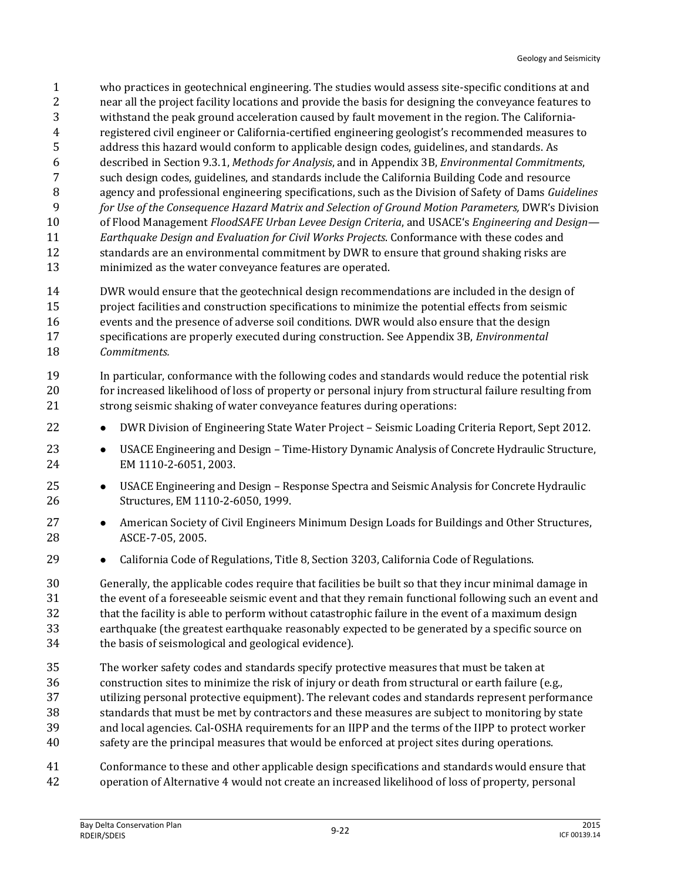- who practices in geotechnical engineering. The studies would assess site-specific conditions at and near all the project facility locations and provide the basis for designing the conveyance features to withstand the peak ground acceleration caused by fault movement in the region. The California- registered civil engineer or California-certified engineering geologist's recommended measures to address this hazard would conform to applicable design codes, guidelines, and standards. As described in Section 9.3.1, *Methods for Analysis*, and in Appendix 3B, *Environmental Commitments*, such design codes, guidelines, and standards include the California Building Code and resource agency and professional engineering specifications, such as the Division of Safety of Dams *Guidelines for Use of the Consequence Hazard Matrix and Selection of Ground Motion Parameters,* DWR's Division of Flood Management *FloodSAFE Urban Levee Design Criteria*, and USACE's *Engineering and Design— Earthquake Design and Evaluation for Civil Works Projects*. Conformance with these codes and standards are an environmental commitment by DWR to ensure that ground shaking risks are
- minimized as the water conveyance features are operated.
- DWR would ensure that the geotechnical design recommendations are included in the design of project facilities and construction specifications to minimize the potential effects from seismic events and the presence of adverse soil conditions. DWR would also ensure that the design specifications are properly executed during construction. See Appendix 3B, *Environmental Commitments.*
- In particular, conformance with the following codes and standards would reduce the potential risk for increased likelihood of loss of property or personal injury from structural failure resulting from strong seismic shaking of water conveyance features during operations:
- **••** DWR Division of Engineering State Water Project Seismic Loading Criteria Report, Sept 2012.
- **••** USACE Engineering and Design Time-History Dynamic Analysis of Concrete Hydraulic Structure, EM 1110-2-6051, 2003.
- USACE Engineering and Design Response Spectra and Seismic Analysis for Concrete Hydraulic Structures, EM 1110-2-6050, 1999.
- **•** American Society of Civil Engineers Minimum Design Loads for Buildings and Other Structures, ASCE-7-05, 2005.
- **California Code of Regulations, Title 8, Section 3203, California Code of Regulations.**
- Generally, the applicable codes require that facilities be built so that they incur minimal damage in the event of a foreseeable seismic event and that they remain functional following such an event and that the facility is able to perform without catastrophic failure in the event of a maximum design earthquake (the greatest earthquake reasonably expected to be generated by a specific source on the basis of seismological and geological evidence).
- The worker safety codes and standards specify protective measures that must be taken at construction sites to minimize the risk of injury or death from structural or earth failure (e.g., utilizing personal protective equipment). The relevant codes and standards represent performance standards that must be met by contractors and these measures are subject to monitoring by state
- and local agencies. Cal-OSHA requirements for an IIPP and the terms of the IIPP to protect worker
- safety are the principal measures that would be enforced at project sites during operations.
- Conformance to these and other applicable design specifications and standards would ensure that
- operation of Alternative 4 would not create an increased likelihood of loss of property, personal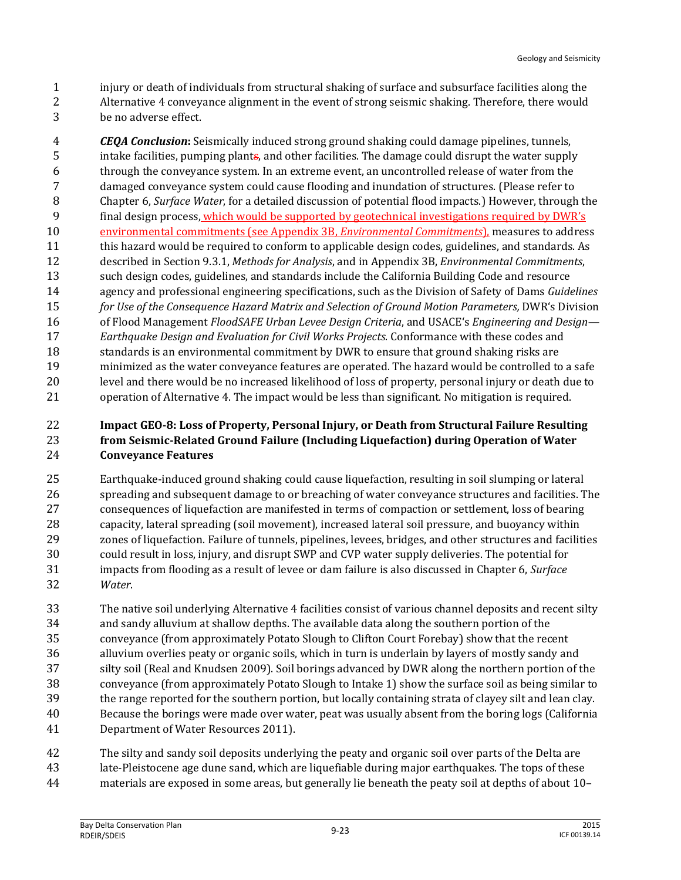- injury or death of individuals from structural shaking of surface and subsurface facilities along the Alternative 4 conveyance alignment in the event of strong seismic shaking. Therefore, there would
- be no adverse effect.

 *CEQA Conclusion***:** Seismically induced strong ground shaking could damage pipelines, tunnels, intake facilities, pumping plants, and other facilities. The damage could disrupt the water supply through the conveyance system. In an extreme event, an uncontrolled release of water from the damaged conveyance system could cause flooding and inundation of structures. (Please refer to Chapter 6, *Surface Water*, for a detailed discussion of potential flood impacts.) However, through the final design process, which would be supported by geotechnical investigations required by DWR's environmental commitments (see Appendix 3B, *Environmental Commitments*), measures to address this hazard would be required to conform to applicable design codes, guidelines, and standards. As described in Section 9.3.1, *Methods for Analysis*, and in Appendix 3B, *Environmental Commitments*, such design codes, guidelines, and standards include the California Building Code and resource agency and professional engineering specifications, such as the Division of Safety of Dams *Guidelines for Use of the Consequence Hazard Matrix and Selection of Ground Motion Parameters,* DWR's Division of Flood Management *FloodSAFE Urban Levee Design Criteria*, and USACE's *Engineering and Design— Earthquake Design and Evaluation for Civil Works Projects*. Conformance with these codes and standards is an environmental commitment by DWR to ensure that ground shaking risks are minimized as the water conveyance features are operated. The hazard would be controlled to a safe level and there would be no increased likelihood of loss of property, personal injury or death due to operation of Alternative 4. The impact would be less than significant. No mitigation is required.

#### **Impact GEO-8: Loss of Property, Personal Injury, or Death from Structural Failure Resulting from Seismic-Related Ground Failure (Including Liquefaction) during Operation of Water Conveyance Features**

 Earthquake-induced ground shaking could cause liquefaction, resulting in soil slumping or lateral spreading and subsequent damage to or breaching of water conveyance structures and facilities. The consequences of liquefaction are manifested in terms of compaction or settlement, loss of bearing capacity, lateral spreading (soil movement), increased lateral soil pressure, and buoyancy within zones of liquefaction. Failure of tunnels, pipelines, levees, bridges, and other structures and facilities could result in loss, injury, and disrupt SWP and CVP water supply deliveries. The potential for impacts from flooding as a result of levee or dam failure is also discussed in Chapter 6, *Surface Water*.

 The native soil underlying Alternative 4 facilities consist of various channel deposits and recent silty and sandy alluvium at shallow depths. The available data along the southern portion of the conveyance (from approximately Potato Slough to Clifton Court Forebay) show that the recent alluvium overlies peaty or organic soils, which in turn is underlain by layers of mostly sandy and silty soil (Real and Knudsen 2009). Soil borings advanced by DWR along the northern portion of the conveyance (from approximately Potato Slough to Intake 1) show the surface soil as being similar to the range reported for the southern portion, but locally containing strata of clayey silt and lean clay. Because the borings were made over water, peat was usually absent from the boring logs (California Department of Water Resources 2011).

 The silty and sandy soil deposits underlying the peaty and organic soil over parts of the Delta are late-Pleistocene age dune sand, which are liquefiable during major earthquakes. The tops of these materials are exposed in some areas, but generally lie beneath the peaty soil at depths of about 10–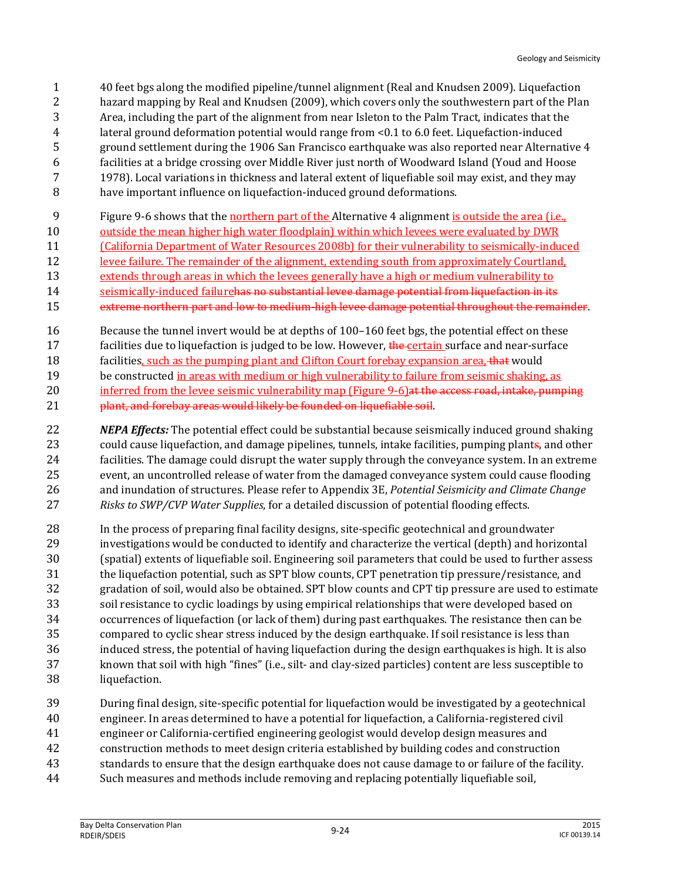- 40 feet bgs along the modified pipeline/tunnel alignment (Real and Knudsen 2009). Liquefaction hazard mapping by Real and Knudsen (2009), which covers only the southwestern part of the Plan Area, including the part of the alignment from near Isleton to the Palm Tract, indicates that the lateral ground deformation potential would range from <0.1 to 6.0 feet. Liquefaction-induced ground settlement during the 1906 San Francisco earthquake was also reported near Alternative 4 facilities at a bridge crossing over Middle River just north of Woodward Island (Youd and Hoose 1978). Local variations in thickness and lateral extent of liquefiable soil may exist, and they may have important influence on liquefaction-induced ground deformations.
- Figure 9-6 shows that the northern part of the Alternative 4 alignment is outside the area (i.e.,
- outside the mean higher high water floodplain) within which levees were evaluated by DWR
- (California Department of Water Resources 2008b) for their vulnerability to seismically-induced
- levee failure. The remainder of the alignment, extending south from approximately Courtland,
- extends through areas in which the levees generally have a high or medium vulnerability to
- seismically-induced failurehas no substantial levee damage potential from liquefaction in its
- extreme northern part and low to medium-high levee damage potential throughout the remainder.
- Because the tunnel invert would be at depths of 100–160 feet bgs, the potential effect on these
- 17 facilities due to liquefaction is judged to be low. However, the certain surface and near-surface
- 18 facilities, such as the pumping plant and Clifton Court forebay expansion area, that would
- be constructed in areas with medium or high vulnerability to failure from seismic shaking, as
- 20 inferred from the levee seismic vulnerability map (Figure 9-6) at the access road, intake, pumping
- 21 plant, and forebay areas would likely be founded on liquefiable soil.
- *NEPA Effects:* The potential effect could be substantial because seismically induced ground shaking could cause liquefaction, and damage pipelines, tunnels, intake facilities, pumping plants, and other facilities. The damage could disrupt the water supply through the conveyance system. In an extreme event, an uncontrolled release of water from the damaged conveyance system could cause flooding and inundation of structures. Please refer to Appendix 3E, *Potential Seismicity and Climate Change Risks to SWP/CVP Water Supplies*, for a detailed discussion of potential flooding effects.
- In the process of preparing final facility designs, site-specific geotechnical and groundwater investigations would be conducted to identify and characterize the vertical (depth) and horizontal (spatial) extents of liquefiable soil. Engineering soil parameters that could be used to further assess the liquefaction potential, such as SPT blow counts, CPT penetration tip pressure/resistance, and gradation of soil, would also be obtained. SPT blow counts and CPT tip pressure are used to estimate soil resistance to cyclic loadings by using empirical relationships that were developed based on occurrences of liquefaction (or lack of them) during past earthquakes. The resistance then can be compared to cyclic shear stress induced by the design earthquake. If soil resistance is less than induced stress, the potential of having liquefaction during the design earthquakes is high. It is also known that soil with high "fines" (i.e., silt- and clay-sized particles) content are less susceptible to liquefaction.
- During final design, site-specific potential for liquefaction would be investigated by a geotechnical
- engineer. In areas determined to have a potential for liquefaction, a California-registered civil
- engineer or California-certified engineering geologist would develop design measures and
- construction methods to meet design criteria established by building codes and construction standards to ensure that the design earthquake does not cause damage to or failure of the facility.
- 
- Such measures and methods include removing and replacing potentially liquefiable soil,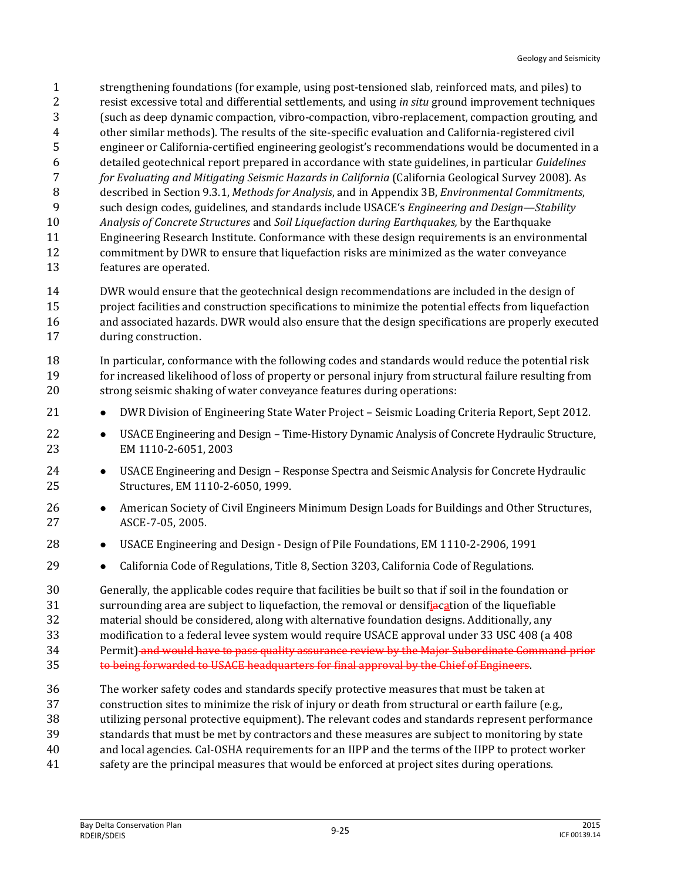strengthening foundations (for example, using post-tensioned slab, reinforced mats, and piles) to resist excessive total and differential settlements, and using *in situ* ground improvement techniques (such as deep dynamic compaction, vibro-compaction, vibro-replacement, compaction grouting, and other similar methods). The results of the site-specific evaluation and California-registered civil engineer or California-certified engineering geologist's recommendations would be documented in a detailed geotechnical report prepared in accordance with state guidelines, in particular *Guidelines for Evaluating and Mitigating Seismic Hazards in California* (California Geological Survey 2008). As described in Section 9.3.1, *Methods for Analysis*, and in Appendix 3B, *Environmental Commitments*, such design codes, guidelines, and standards include USACE's *Engineering and Design—Stability Analysis of Concrete Structures* and *Soil Liquefaction during Earthquakes,* by the Earthquake Engineering Research Institute. Conformance with these design requirements is an environmental commitment by DWR to ensure that liquefaction risks are minimized as the water conveyance features are operated.

 DWR would ensure that the geotechnical design recommendations are included in the design of project facilities and construction specifications to minimize the potential effects from liquefaction and associated hazards. DWR would also ensure that the design specifications are properly executed during construction.

- In particular, conformance with the following codes and standards would reduce the potential risk for increased likelihood of loss of property or personal injury from structural failure resulting from strong seismic shaking of water conveyance features during operations:
- 21 DWR Division of Engineering State Water Project Seismic Loading Criteria Report, Sept 2012.
- 22 USACE Engineering and Design Time-History Dynamic Analysis of Concrete Hydraulic Structure, EM 1110-2-6051, 2003
- 24 USACE Engineering and Design Response Spectra and Seismic Analysis for Concrete Hydraulic Structures, EM 1110-2-6050, 1999.
- 26 American Society of Civil Engineers Minimum Design Loads for Buildings and Other Structures, ASCE-7-05, 2005.
- 28 USACE Engineering and Design Design of Pile Foundations, EM 1110-2-2906, 1991
- **•** California Code of Regulations, Title 8, Section 3203, California Code of Regulations.

 Generally, the applicable codes require that facilities be built so that if soil in the foundation or 31 surrounding area are subject to liquefaction, the removal or densifiacation of the liquefiable material should be considered, along with alternative foundation designs. Additionally, any

modification to a federal levee system would require USACE approval under 33 USC 408 (a 408

34 Permit) and would have to pass quality assurance review by the Major Subordinate Command prior

- to being forwarded to USACE headquarters for final approval by the Chief of Engineers.
- The worker safety codes and standards specify protective measures that must be taken at
- construction sites to minimize the risk of injury or death from structural or earth failure (e.g.,
- utilizing personal protective equipment). The relevant codes and standards represent performance
- standards that must be met by contractors and these measures are subject to monitoring by state
- and local agencies. Cal-OSHA requirements for an IIPP and the terms of the IIPP to protect worker
- safety are the principal measures that would be enforced at project sites during operations.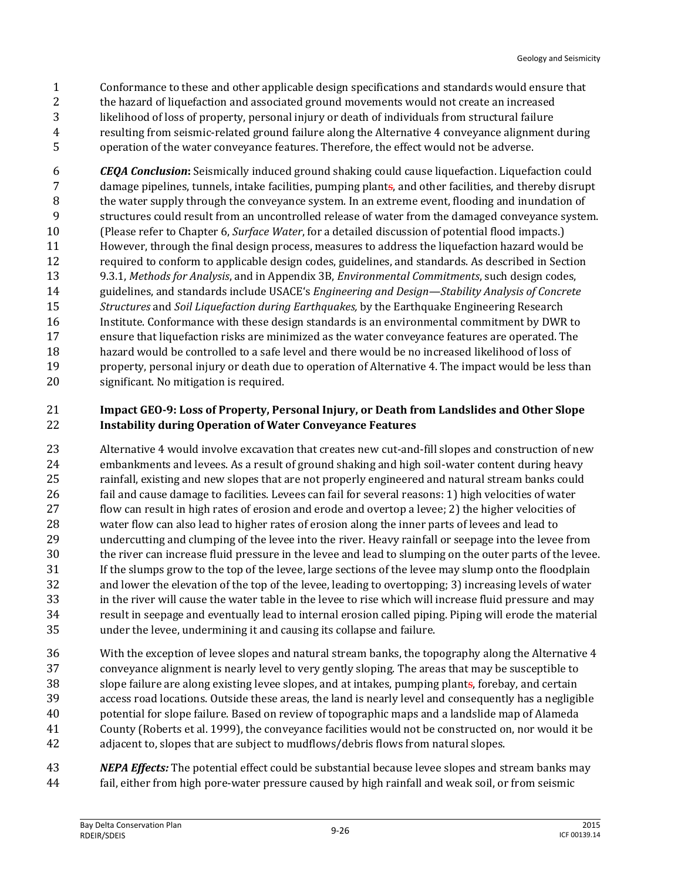- Conformance to these and other applicable design specifications and standards would ensure that the hazard of liquefaction and associated ground movements would not create an increased likelihood of loss of property, personal injury or death of individuals from structural failure resulting from seismic-related ground failure along the Alternative 4 conveyance alignment during operation of the water conveyance features. Therefore, the effect would not be adverse.
- *CEQA Conclusion***:** Seismically induced ground shaking could cause liquefaction. Liquefaction could damage pipelines, tunnels, intake facilities, pumping plants, and other facilities, and thereby disrupt the water supply through the conveyance system. In an extreme event, flooding and inundation of structures could result from an uncontrolled release of water from the damaged conveyance system. (Please refer to Chapter 6, *Surface Water*, for a detailed discussion of potential flood impacts.) However, through the final design process, measures to address the liquefaction hazard would be required to conform to applicable design codes, guidelines, and standards. As described in Section 9.3.1, *Methods for Analysis*, and in Appendix 3B, *Environmental Commitments*, such design codes, guidelines, and standards include USACE's *Engineering and Design—Stability Analysis of Concrete Structures* and *Soil Liquefaction during Earthquakes,* by the Earthquake Engineering Research Institute. Conformance with these design standards is an environmental commitment by DWR to ensure that liquefaction risks are minimized as the water conveyance features are operated. The hazard would be controlled to a safe level and there would be no increased likelihood of loss of property, personal injury or death due to operation of Alternative 4. The impact would be less than significant. No mitigation is required.

#### **Impact GEO-9: Loss of Property, Personal Injury, or Death from Landslides and Other Slope Instability during Operation of Water Conveyance Features**

- Alternative 4 would involve excavation that creates new cut-and-fill slopes and construction of new embankments and levees. As a result of ground shaking and high soil-water content during heavy rainfall, existing and new slopes that are not properly engineered and natural stream banks could fail and cause damage to facilities. Levees can fail for several reasons: 1) high velocities of water flow can result in high rates of erosion and erode and overtop a levee; 2) the higher velocities of water flow can also lead to higher rates of erosion along the inner parts of levees and lead to undercutting and clumping of the levee into the river. Heavy rainfall or seepage into the levee from the river can increase fluid pressure in the levee and lead to slumping on the outer parts of the levee. If the slumps grow to the top of the levee, large sections of the levee may slump onto the floodplain and lower the elevation of the top of the levee, leading to overtopping; 3) increasing levels of water in the river will cause the water table in the levee to rise which will increase fluid pressure and may result in seepage and eventually lead to internal erosion called piping. Piping will erode the material under the levee, undermining it and causing its collapse and failure.
- With the exception of levee slopes and natural stream banks, the topography along the Alternative 4 conveyance alignment is nearly level to very gently sloping. The areas that may be susceptible to slope failure are along existing levee slopes, and at intakes, pumping plants, forebay, and certain access road locations. Outside these areas, the land is nearly level and consequently has a negligible potential for slope failure. Based on review of topographic maps and a landslide map of Alameda County (Roberts et al. 1999), the conveyance facilities would not be constructed on, nor would it be adjacent to, slopes that are subject to mudflows/debris flows from natural slopes.
- *NEPA Effects:* The potential effect could be substantial because levee slopes and stream banks may fail, either from high pore-water pressure caused by high rainfall and weak soil, or from seismic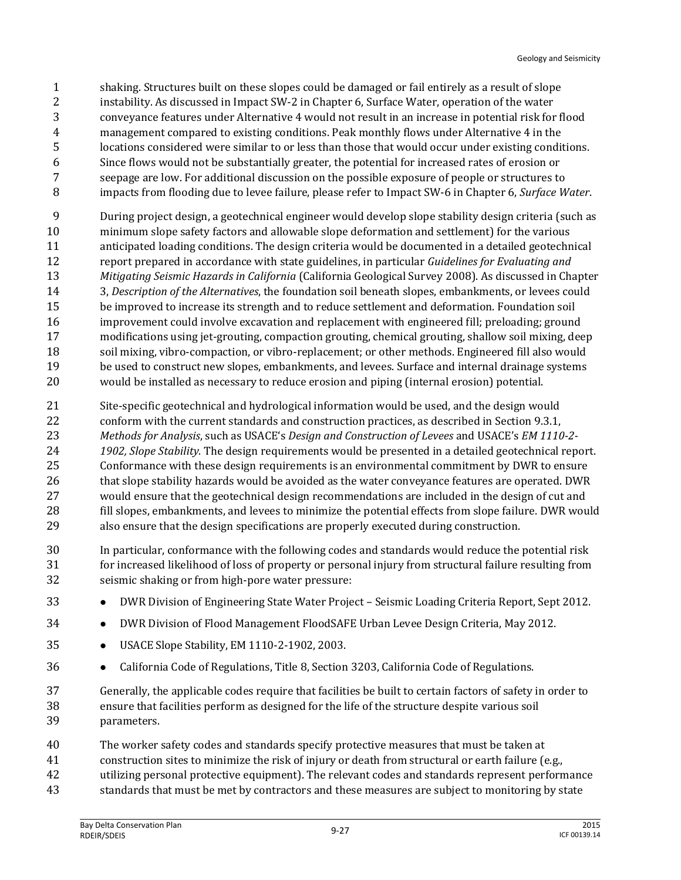- shaking. Structures built on these slopes could be damaged or fail entirely as a result of slope instability. As discussed in Impact SW-2 in Chapter 6, Surface Water, operation of the water conveyance features under Alternative 4 would not result in an increase in potential risk for flood management compared to existing conditions. Peak monthly flows under Alternative 4 in the locations considered were similar to or less than those that would occur under existing conditions. Since flows would not be substantially greater, the potential for increased rates of erosion or seepage are low. For additional discussion on the possible exposure of people or structures to impacts from flooding due to levee failure, please refer to Impact SW-6 in Chapter 6, *Surface Water*.
- During project design, a geotechnical engineer would develop slope stability design criteria (such as minimum slope safety factors and allowable slope deformation and settlement) for the various anticipated loading conditions. The design criteria would be documented in a detailed geotechnical report prepared in accordance with state guidelines, in particular *Guidelines for Evaluating and Mitigating Seismic Hazards in California* (California Geological Survey 2008). As discussed in Chapter 3, *Description of the Alternatives*, the foundation soil beneath slopes, embankments, or levees could be improved to increase its strength and to reduce settlement and deformation. Foundation soil improvement could involve excavation and replacement with engineered fill; preloading; ground modifications using jet-grouting, compaction grouting, chemical grouting, shallow soil mixing, deep soil mixing, vibro-compaction, or vibro-replacement; or other methods. Engineered fill also would 19 be used to construct new slopes, embankments, and levees. Surface and internal drainage systems would be installed as necessary to reduce erosion and piping (internal erosion) potential.
- Site-specific geotechnical and hydrological information would be used, and the design would conform with the current standards and construction practices, as described in Section 9.3.1, *Methods for Analysis*, such as USACE's *Design and Construction of Levees* and USACE's *EM 1110-2- 1902, Slope Stability.* The design requirements would be presented in a detailed geotechnical report. Conformance with these design requirements is an environmental commitment by DWR to ensure that slope stability hazards would be avoided as the water conveyance features are operated. DWR would ensure that the geotechnical design recommendations are included in the design of cut and fill slopes, embankments, and levees to minimize the potential effects from slope failure. DWR would also ensure that the design specifications are properly executed during construction.
- In particular, conformance with the following codes and standards would reduce the potential risk for increased likelihood of loss of property or personal injury from structural failure resulting from seismic shaking or from high-pore water pressure:
- **••** DWR Division of Engineering State Water Project Seismic Loading Criteria Report, Sept 2012.
- **DWR Division of Flood Management FloodSAFE Urban Levee Design Criteria, May 2012.**
- USACE Slope Stability, EM 1110-2-1902, 2003.
- **California Code of Regulations, Title 8, Section 3203, California Code of Regulations.**
- Generally, the applicable codes require that facilities be built to certain factors of safety in order to ensure that facilities perform as designed for the life of the structure despite various soil parameters.
- The worker safety codes and standards specify protective measures that must be taken at
- construction sites to minimize the risk of injury or death from structural or earth failure (e.g.,
- utilizing personal protective equipment). The relevant codes and standards represent performance
- standards that must be met by contractors and these measures are subject to monitoring by state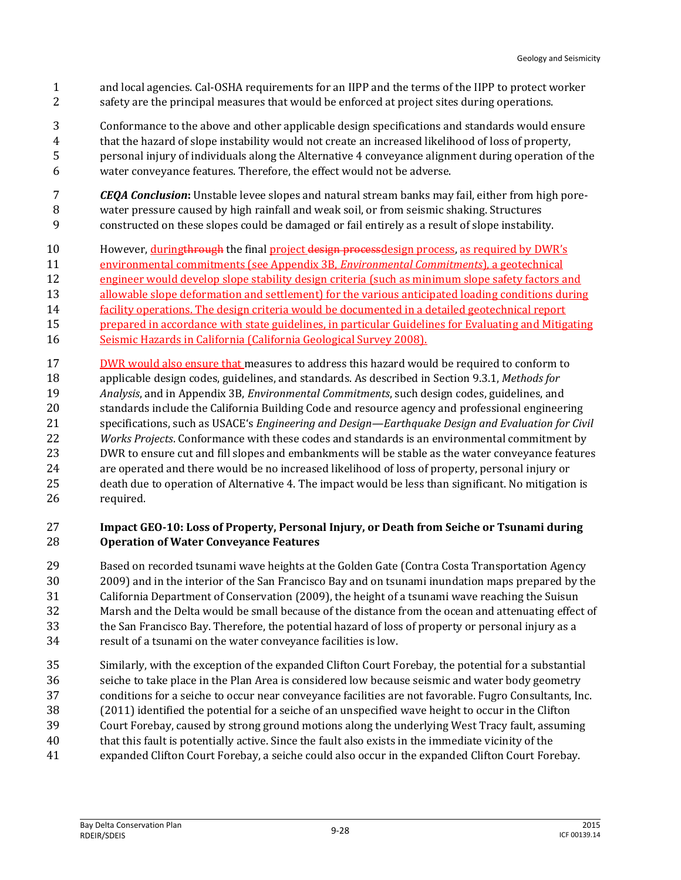- and local agencies. Cal-OSHA requirements for an IIPP and the terms of the IIPP to protect worker 2 safety are the principal measures that would be enforced at project sites during operations.
- Conformance to the above and other applicable design specifications and standards would ensure that the hazard of slope instability would not create an increased likelihood of loss of property, personal injury of individuals along the Alternative 4 conveyance alignment during operation of the water conveyance features. Therefore, the effect would not be adverse.
- *CEQA Conclusion***:** Unstable levee slopes and natural stream banks may fail, either from high pore- water pressure caused by high rainfall and weak soil, or from seismic shaking. Structures constructed on these slopes could be damaged or fail entirely as a result of slope instability.
- 10 However, during through the final project design process design process, as required by DWR's
- environmental commitments (see Appendix 3B, *Environmental Commitments*), a geotechnical
- engineer would develop slope stability design criteria (such as minimum slope safety factors and
- 13 allowable slope deformation and settlement) for the various anticipated loading conditions during
- facility operations. The design criteria would be documented in a detailed geotechnical report
- prepared in accordance with state guidelines, in particular Guidelines for Evaluating and Mitigating
- Seismic Hazards in California (California Geological Survey 2008).
- 17 DWR would also ensure that measures to address this hazard would be required to conform to
- applicable design codes, guidelines, and standards. As described in Section 9.3.1, *Methods for*
- *Analysis*, and in Appendix 3B, *Environmental Commitments*, such design codes, guidelines, and standards include the California Building Code and resource agency and professional engineering
- specifications, such as USACE's *Engineering and Design—Earthquake Design and Evaluation for Civil Works Projects*. Conformance with these codes and standards is an environmental commitment by DWR to ensure cut and fill slopes and embankments will be stable as the water conveyance features
- are operated and there would be no increased likelihood of loss of property, personal injury or death due to operation of Alternative 4. The impact would be less than significant. No mitigation is required.

#### **Impact GEO-10: Loss of Property, Personal Injury, or Death from Seiche or Tsunami during Operation of Water Conveyance Features**

- Based on recorded tsunami wave heights at the Golden Gate (Contra Costa Transportation Agency
- 2009) and in the interior of the San Francisco Bay and on tsunami inundation maps prepared by the
- California Department of Conservation (2009), the height of a tsunami wave reaching the Suisun
- Marsh and the Delta would be small because of the distance from the ocean and attenuating effect of
- the San Francisco Bay. Therefore, the potential hazard of loss of property or personal injury as a result of a tsunami on the water conveyance facilities is low.
- Similarly, with the exception of the expanded Clifton Court Forebay, the potential for a substantial seiche to take place in the Plan Area is considered low because seismic and water body geometry
- conditions for a seiche to occur near conveyance facilities are not favorable. Fugro Consultants, Inc.
- (2011) identified the potential for a seiche of an unspecified wave height to occur in the Clifton
- Court Forebay, caused by strong ground motions along the underlying West Tracy fault, assuming that this fault is potentially active. Since the fault also exists in the immediate vicinity of the
- expanded Clifton Court Forebay, a seiche could also occur in the expanded Clifton Court Forebay.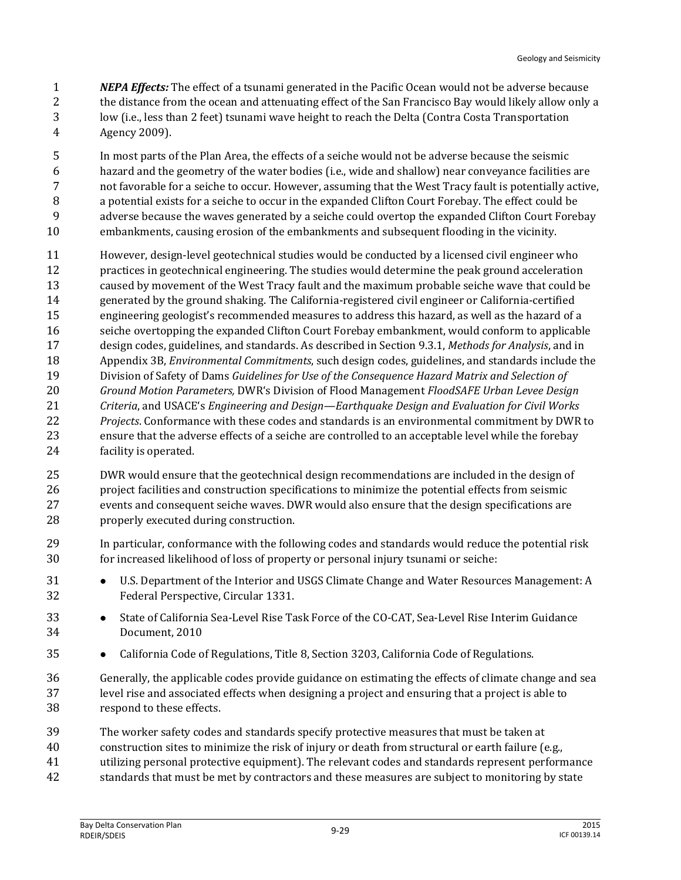*NEPA Effects:* The effect of a tsunami generated in the Pacific Ocean would not be adverse because the distance from the ocean and attenuating effect of the San Francisco Bay would likely allow only a low (i.e., less than 2 feet) tsunami wave height to reach the Delta (Contra Costa Transportation Agency 2009).

 In most parts of the Plan Area, the effects of a seiche would not be adverse because the seismic hazard and the geometry of the water bodies (i.e., wide and shallow) near conveyance facilities are not favorable for a seiche to occur. However, assuming that the West Tracy fault is potentially active, a potential exists for a seiche to occur in the expanded Clifton Court Forebay. The effect could be adverse because the waves generated by a seiche could overtop the expanded Clifton Court Forebay embankments, causing erosion of the embankments and subsequent flooding in the vicinity.

- However, design-level geotechnical studies would be conducted by a licensed civil engineer who practices in geotechnical engineering. The studies would determine the peak ground acceleration caused by movement of the West Tracy fault and the maximum probable seiche wave that could be generated by the ground shaking. The California-registered civil engineer or California-certified engineering geologist's recommended measures to address this hazard, as well as the hazard of a seiche overtopping the expanded Clifton Court Forebay embankment, would conform to applicable design codes, guidelines, and standards. As described in Section 9.3.1, *Methods for Analysis*, and in Appendix 3B, *Environmental Commitments*, such design codes, guidelines, and standards include the Division of Safety of Dams *Guidelines for Use of the Consequence Hazard Matrix and Selection of Ground Motion Parameters,* DWR's Division of Flood Management *FloodSAFE Urban Levee Design Criteria*, and USACE's *Engineering and Design—Earthquake Design and Evaluation for Civil Works Projects*. Conformance with these codes and standards is an environmental commitment by DWR to ensure that the adverse effects of a seiche are controlled to an acceptable level while the forebay facility is operated.
- DWR would ensure that the geotechnical design recommendations are included in the design of project facilities and construction specifications to minimize the potential effects from seismic events and consequent seiche waves. DWR would also ensure that the design specifications are properly executed during construction.
- In particular, conformance with the following codes and standards would reduce the potential risk for increased likelihood of loss of property or personal injury tsunami or seiche:
- **••** U.S. Department of the Interior and USGS Climate Change and Water Resources Management: A Federal Perspective, Circular 1331.
- 33 State of California Sea-Level Rise Task Force of the CO-CAT, Sea-Level Rise Interim Guidance Document, 2010
- **•** California Code of Regulations, Title 8, Section 3203, California Code of Regulations.
- Generally, the applicable codes provide guidance on estimating the effects of climate change and sea level rise and associated effects when designing a project and ensuring that a project is able to respond to these effects.
- The worker safety codes and standards specify protective measures that must be taken at
- construction sites to minimize the risk of injury or death from structural or earth failure (e.g.,
- utilizing personal protective equipment). The relevant codes and standards represent performance
- standards that must be met by contractors and these measures are subject to monitoring by state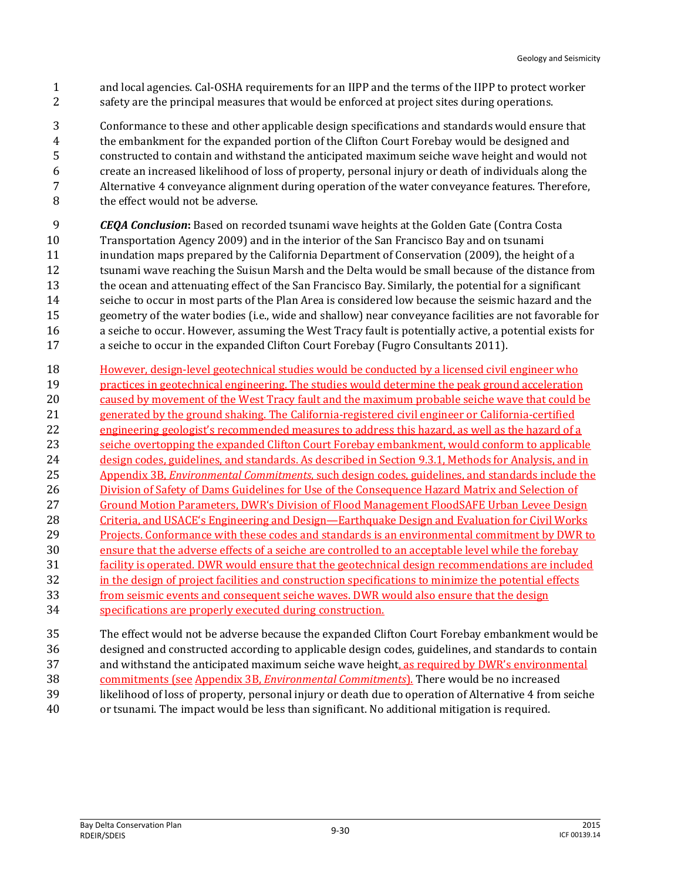- and local agencies. Cal-OSHA requirements for an IIPP and the terms of the IIPP to protect worker safety are the principal measures that would be enforced at project sites during operations.
- Conformance to these and other applicable design specifications and standards would ensure that the embankment for the expanded portion of the Clifton Court Forebay would be designed and constructed to contain and withstand the anticipated maximum seiche wave height and would not create an increased likelihood of loss of property, personal injury or death of individuals along the Alternative 4 conveyance alignment during operation of the water conveyance features. Therefore, 8 the effect would not be adverse.
- *CEQA Conclusion***:** Based on recorded tsunami wave heights at the Golden Gate (Contra Costa Transportation Agency 2009) and in the interior of the San Francisco Bay and on tsunami inundation maps prepared by the California Department of Conservation (2009), the height of a tsunami wave reaching the Suisun Marsh and the Delta would be small because of the distance from the ocean and attenuating effect of the San Francisco Bay. Similarly, the potential for a significant seiche to occur in most parts of the Plan Area is considered low because the seismic hazard and the geometry of the water bodies (i.e., wide and shallow) near conveyance facilities are not favorable for a seiche to occur. However, assuming the West Tracy fault is potentially active, a potential exists for a seiche to occur in the expanded Clifton Court Forebay (Fugro Consultants 2011).
- However, design-level geotechnical studies would be conducted by a licensed civil engineer who practices in geotechnical engineering. The studies would determine the peak ground acceleration caused by movement of the West Tracy fault and the maximum probable seiche wave that could be generated by the ground shaking. The California-registered civil engineer or California-certified engineering geologist's recommended measures to address this hazard, as well as the hazard of a seiche overtopping the expanded Clifton Court Forebay embankment, would conform to applicable design codes, guidelines, and standards. As described in Section 9.3.1, Methods for Analysis, and in Appendix 3B, *Environmental Commitments*, such design codes, guidelines, and standards include the Division of Safety of Dams Guidelines for Use of the Consequence Hazard Matrix and Selection of 27 Ground Motion Parameters, DWR's Division of Flood Management FloodSAFE Urban Levee Design Criteria, and USACE's Engineering and Design—Earthquake Design and Evaluation for Civil Works Projects. Conformance with these codes and standards is an environmental commitment by DWR to ensure that the adverse effects of a seiche are controlled to an acceptable level while the forebay facility is operated. DWR would ensure that the geotechnical design recommendations are included in the design of project facilities and construction specifications to minimize the potential effects 33 from seismic events and consequent seiche waves. DWR would also ensure that the design specifications are properly executed during construction.
- The effect would not be adverse because the expanded Clifton Court Forebay embankment would be designed and constructed according to applicable design codes, guidelines, and standards to contain 37 and withstand the anticipated maximum seiche wave height, as required by DWR's environmental commitments (see Appendix 3B, *Environmental Commitments*). There would be no increased likelihood of loss of property, personal injury or death due to operation of Alternative 4 from seiche or tsunami. The impact would be less than significant. No additional mitigation is required.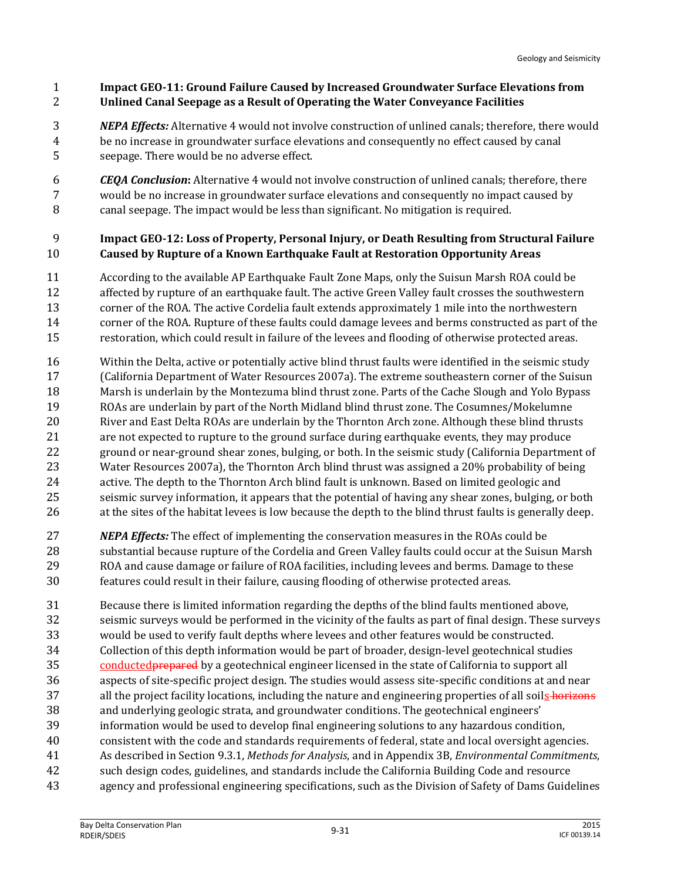#### **Impact GEO-11: Ground Failure Caused by Increased Groundwater Surface Elevations from Unlined Canal Seepage as a Result of Operating the Water Conveyance Facilities**

 *NEPA Effects:* Alternative 4 would not involve construction of unlined canals; therefore, there would be no increase in groundwater surface elevations and consequently no effect caused by canal seepage. There would be no adverse effect.

 *CEQA Conclusion***:** Alternative 4 would not involve construction of unlined canals; therefore, there would be no increase in groundwater surface elevations and consequently no impact caused by canal seepage. The impact would be less than significant. No mitigation is required.

#### **Impact GEO-12: Loss of Property, Personal Injury, or Death Resulting from Structural Failure Caused by Rupture of a Known Earthquake Fault at Restoration Opportunity Areas**

 According to the available AP Earthquake Fault Zone Maps, only the Suisun Marsh ROA could be affected by rupture of an earthquake fault. The active Green Valley fault crosses the southwestern corner of the ROA. The active Cordelia fault extends approximately 1 mile into the northwestern corner of the ROA. Rupture of these faults could damage levees and berms constructed as part of the restoration, which could result in failure of the levees and flooding of otherwise protected areas.

- Within the Delta, active or potentially active blind thrust faults were identified in the seismic study (California Department of Water Resources 2007a). The extreme southeastern corner of the Suisun Marsh is underlain by the Montezuma blind thrust zone. Parts of the Cache Slough and Yolo Bypass ROAs are underlain by part of the North Midland blind thrust zone. The Cosumnes/Mokelumne River and East Delta ROAs are underlain by the Thornton Arch zone. Although these blind thrusts are not expected to rupture to the ground surface during earthquake events, they may produce ground or near-ground shear zones, bulging, or both. In the seismic study (California Department of Water Resources 2007a), the Thornton Arch blind thrust was assigned a 20% probability of being active. The depth to the Thornton Arch blind fault is unknown. Based on limited geologic and seismic survey information, it appears that the potential of having any shear zones, bulging, or both at the sites of the habitat levees is low because the depth to the blind thrust faults is generally deep.
- *NEPA Effects:* The effect of implementing the conservation measures in the ROAs could be substantial because rupture of the Cordelia and Green Valley faults could occur at the Suisun Marsh ROA and cause damage or failure of ROA facilities, including levees and berms. Damage to these features could result in their failure, causing flooding of otherwise protected areas.
- Because there is limited information regarding the depths of the blind faults mentioned above, seismic surveys would be performed in the vicinity of the faults as part of final design. These surveys would be used to verify fault depths where levees and other features would be constructed. Collection of this depth information would be part of broader, design-level geotechnical studies 35 conducted **prepared** by a geotechnical engineer licensed in the state of California to support all aspects of site-specific project design. The studies would assess site-specific conditions at and near 37 all the project facility locations, including the nature and engineering properties of all soils horizons and underlying geologic strata, and groundwater conditions. The geotechnical engineers' information would be used to develop final engineering solutions to any hazardous condition, consistent with the code and standards requirements of federal, state and local oversight agencies. As described in Section 9.3.1, *Methods for Analysis*, and in Appendix 3B, *Environmental Commitments*, such design codes, guidelines, and standards include the California Building Code and resource agency and professional engineering specifications, such as the Division of Safety of Dams Guidelines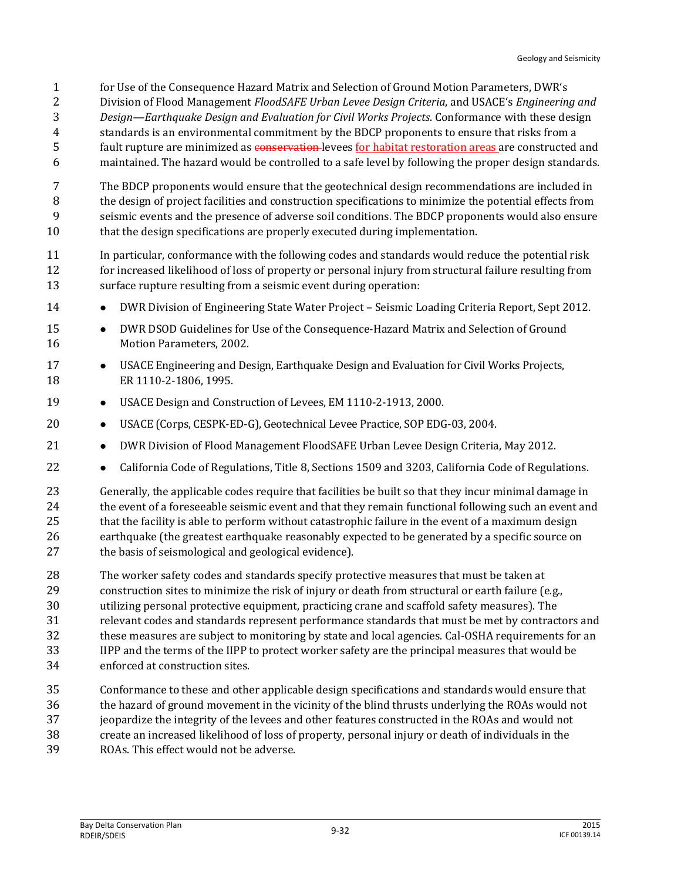- for Use of the Consequence Hazard Matrix and Selection of Ground Motion Parameters, DWR's
- Division of Flood Management *FloodSAFE Urban Levee Design Criteria*, and USACE's *Engineering and*
- *Design—Earthquake Design and Evaluation for Civil Works Projects*. Conformance with these design
- standards is an environmental commitment by the BDCP proponents to ensure that risks from a
- fault rupture are minimized as conservation levees for habitat restoration areas are constructed and
- maintained. The hazard would be controlled to a safe level by following the proper design standards.
- The BDCP proponents would ensure that the geotechnical design recommendations are included in the design of project facilities and construction specifications to minimize the potential effects from seismic events and the presence of adverse soil conditions. The BDCP proponents would also ensure that the design specifications are properly executed during implementation.
- In particular, conformance with the following codes and standards would reduce the potential risk 12 for increased likelihood of loss of property or personal injury from structural failure resulting from surface rupture resulting from a seismic event during operation:
- **••** DWR Division of Engineering State Water Project Seismic Loading Criteria Report, Sept 2012.
- **••** DWR DSOD Guidelines for Use of the Consequence-Hazard Matrix and Selection of Ground Motion Parameters, 2002.
- 17 USACE Engineering and Design, Earthquake Design and Evaluation for Civil Works Projects, ER 1110-2-1806, 1995.
- 19 USACE Design and Construction of Levees, EM 1110-2-1913, 2000.
- 20 USACE (Corps, CESPK-ED-G), Geotechnical Levee Practice, SOP EDG-03, 2004.
- **•** DWR Division of Flood Management FloodSAFE Urban Levee Design Criteria, May 2012.
- **•** California Code of Regulations, Title 8, Sections 1509 and 3203, California Code of Regulations.
- Generally, the applicable codes require that facilities be built so that they incur minimal damage in 24 the event of a foreseeable seismic event and that they remain functional following such an event and that the facility is able to perform without catastrophic failure in the event of a maximum design earthquake (the greatest earthquake reasonably expected to be generated by a specific source on the basis of seismological and geological evidence).
- The worker safety codes and standards specify protective measures that must be taken at construction sites to minimize the risk of injury or death from structural or earth failure (e.g., utilizing personal protective equipment, practicing crane and scaffold safety measures). The relevant codes and standards represent performance standards that must be met by contractors and these measures are subject to monitoring by state and local agencies. Cal-OSHA requirements for an IIPP and the terms of the IIPP to protect worker safety are the principal measures that would be
- enforced at construction sites.
- Conformance to these and other applicable design specifications and standards would ensure that the hazard of ground movement in the vicinity of the blind thrusts underlying the ROAs would not
- jeopardize the integrity of the levees and other features constructed in the ROAs and would not
- create an increased likelihood of loss of property, personal injury or death of individuals in the
- ROAs. This effect would not be adverse.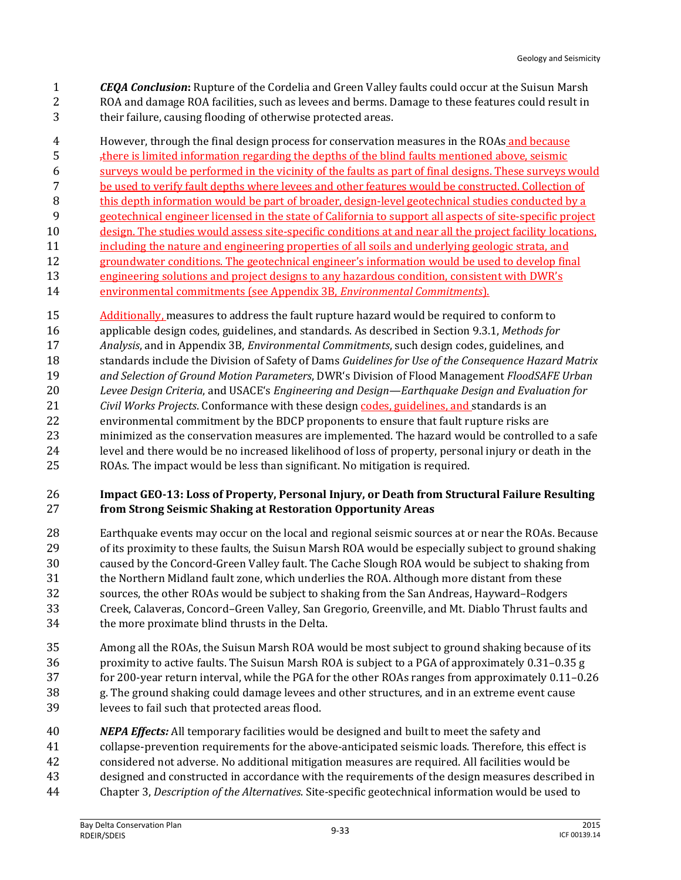*CEQA Conclusion***:** Rupture of the Cordelia and Green Valley faults could occur at the Suisun Marsh ROA and damage ROA facilities, such as levees and berms. Damage to these features could result in their failure, causing flooding of otherwise protected areas.

 However, through the final design process for conservation measures in the ROAs and because 5 <sup>there</sup> is limited information regarding the depths of the blind faults mentioned above, seismic surveys would be performed in the vicinity of the faults as part of final designs. These surveys would be used to verify fault depths where levees and other features would be constructed. Collection of this depth information would be part of broader, design-level geotechnical studies conducted by a geotechnical engineer licensed in the state of California to support all aspects of site-specific project design. The studies would assess site-specific conditions at and near all the project facility locations, including the nature and engineering properties of all soils and underlying geologic strata, and 12 groundwater conditions. The geotechnical engineer's information would be used to develop final engineering solutions and project designs to any hazardous condition, consistent with DWR's

- environmental commitments (see Appendix 3B, *Environmental Commitments*).
- Additionally, measures to address the fault rupture hazard would be required to conform to applicable design codes, guidelines, and standards. As described in Section 9.3.1, *Methods for Analysis*, and in Appendix 3B, *Environmental Commitments*, such design codes, guidelines, and standards include the Division of Safety of Dams *Guidelines for Use of the Consequence Hazard Matrix and Selection of Ground Motion Parameters*, DWR's Division of Flood Management *FloodSAFE Urban Levee Design Criteria*, and USACE's *Engineering and Design—Earthquake Design and Evaluation for Civil Works Projects*. Conformance with these design codes, guidelines, and standards is an environmental commitment by the BDCP proponents to ensure that fault rupture risks are minimized as the conservation measures are implemented. The hazard would be controlled to a safe level and there would be no increased likelihood of loss of property, personal injury or death in the ROAs. The impact would be less than significant. No mitigation is required.

#### **Impact GEO-13: Loss of Property, Personal Injury, or Death from Structural Failure Resulting from Strong Seismic Shaking at Restoration Opportunity Areas**

 Earthquake events may occur on the local and regional seismic sources at or near the ROAs. Because of its proximity to these faults, the Suisun Marsh ROA would be especially subject to ground shaking caused by the Concord-Green Valley fault. The Cache Slough ROA would be subject to shaking from the Northern Midland fault zone, which underlies the ROA. Although more distant from these sources, the other ROAs would be subject to shaking from the San Andreas, Hayward–Rodgers Creek, Calaveras, Concord–Green Valley, San Gregorio, Greenville, and Mt. Diablo Thrust faults and the more proximate blind thrusts in the Delta.

- Among all the ROAs, the Suisun Marsh ROA would be most subject to ground shaking because of its proximity to active faults. The Suisun Marsh ROA is subject to a PGA of approximately 0.31–0.35 g for 200-year return interval, while the PGA for the other ROAs ranges from approximately 0.11–0.26 g. The ground shaking could damage levees and other structures, and in an extreme event cause levees to fail such that protected areas flood.
- *NEPA Effects:* All temporary facilities would be designed and built to meet the safety and collapse-prevention requirements for the above-anticipated seismic loads. Therefore, this effect is considered not adverse. No additional mitigation measures are required. All facilities would be designed and constructed in accordance with the requirements of the design measures described in
- Chapter 3, *Description of the Alternatives*. Site-specific geotechnical information would be used to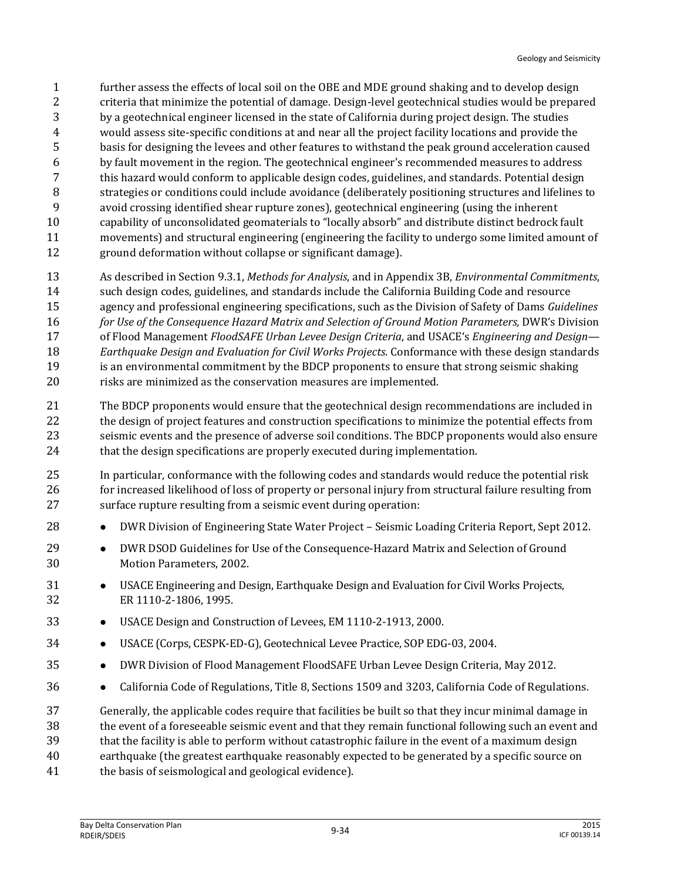- further assess the effects of local soil on the OBE and MDE ground shaking and to develop design criteria that minimize the potential of damage. Design-level geotechnical studies would be prepared by a geotechnical engineer licensed in the state of California during project design. The studies would assess site-specific conditions at and near all the project facility locations and provide the basis for designing the levees and other features to withstand the peak ground acceleration caused by fault movement in the region. The geotechnical engineer's recommended measures to address this hazard would conform to applicable design codes, guidelines, and standards. Potential design strategies or conditions could include avoidance (deliberately positioning structures and lifelines to avoid crossing identified shear rupture zones), geotechnical engineering (using the inherent capability of unconsolidated geomaterials to "locally absorb" and distribute distinct bedrock fault movements) and structural engineering (engineering the facility to undergo some limited amount of ground deformation without collapse or significant damage).
- As described in Section 9.3.1, *Methods for Analysis*, and in Appendix 3B, *Environmental Commitments*, such design codes, guidelines, and standards include the California Building Code and resource agency and professional engineering specifications, such as the Division of Safety of Dams *Guidelines for Use of the Consequence Hazard Matrix and Selection of Ground Motion Parameters,* DWR's Division
- of Flood Management *FloodSAFE Urban Levee Design Criteria*, and USACE's *Engineering and Design—*
- *Earthquake Design and Evaluation for Civil Works Projects*. Conformance with these design standards
- 19 is an environmental commitment by the BDCP proponents to ensure that strong seismic shaking risks are minimized as the conservation measures are implemented.
- The BDCP proponents would ensure that the geotechnical design recommendations are included in the design of project features and construction specifications to minimize the potential effects from seismic events and the presence of adverse soil conditions. The BDCP proponents would also ensure that the design specifications are properly executed during implementation.
- In particular, conformance with the following codes and standards would reduce the potential risk 26 for increased likelihood of loss of property or personal injury from structural failure resulting from surface rupture resulting from a seismic event during operation:
- **••** DWR Division of Engineering State Water Project Seismic Loading Criteria Report, Sept 2012.
- **••** DWR DSOD Guidelines for Use of the Consequence-Hazard Matrix and Selection of Ground Motion Parameters, 2002.
- USACE Engineering and Design, Earthquake Design and Evaluation for Civil Works Projects, ER 1110-2-1806, 1995.
- USACE Design and Construction of Levees, EM 1110-2-1913, 2000.
- 34 USACE (Corps, CESPK-ED-G), Geotechnical Levee Practice, SOP EDG-03, 2004.
- **••** DWR Division of Flood Management FloodSAFE Urban Levee Design Criteria, May 2012.
- **••** California Code of Regulations, Title 8, Sections 1509 and 3203, California Code of Regulations.

Generally, the applicable codes require that facilities be built so that they incur minimal damage in

the event of a foreseeable seismic event and that they remain functional following such an event and

that the facility is able to perform without catastrophic failure in the event of a maximum design

- earthquake (the greatest earthquake reasonably expected to be generated by a specific source on the basis of seismological and geological evidence).
	- Bay Delta Conservation Plan<br>RDEIR/SDEIS 2015 - Bay Delta Conservation Plan<br>RDEIR/SDEIS - Bay Delta Conservation Plan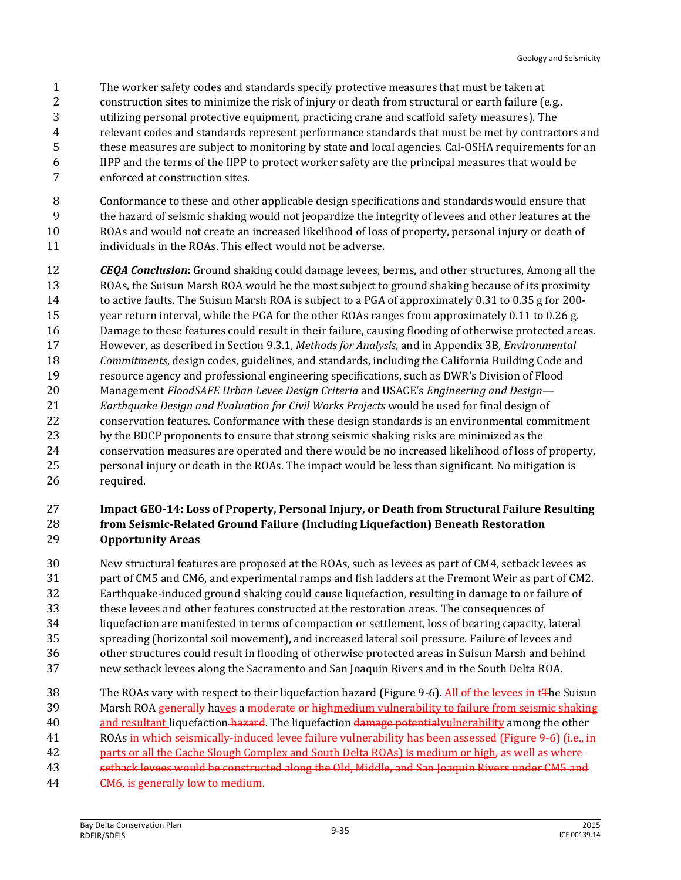- The worker safety codes and standards specify protective measures that must be taken at
- 2 construction sites to minimize the risk of injury or death from structural or earth failure (e.g.,
- utilizing personal protective equipment, practicing crane and scaffold safety measures). The
- relevant codes and standards represent performance standards that must be met by contractors and
- these measures are subject to monitoring by state and local agencies. Cal-OSHA requirements for an
- IIPP and the terms of the IIPP to protect worker safety are the principal measures that would be
- enforced at construction sites.
- Conformance to these and other applicable design specifications and standards would ensure that
- the hazard of seismic shaking would not jeopardize the integrity of levees and other features at the ROAs and would not create an increased likelihood of loss of property, personal injury or death of
- 11 individuals in the ROAs. This effect would not be adverse.
- *CEQA Conclusion***:** Ground shaking could damage levees, berms, and other structures, Among all the ROAs, the Suisun Marsh ROA would be the most subject to ground shaking because of its proximity to active faults. The Suisun Marsh ROA is subject to a PGA of approximately 0.31 to 0.35 g for 200- year return interval, while the PGA for the other ROAs ranges from approximately 0.11 to 0.26 g. Damage to these features could result in their failure, causing flooding of otherwise protected areas. However, as described in Section 9.3.1, *Methods for Analysis*, and in Appendix 3B, *Environmental Commitments*, design codes, guidelines, and standards, including the California Building Code and resource agency and professional engineering specifications, such as DWR's Division of Flood Management *FloodSAFE Urban Levee Design Criteria* and USACE's *Engineering and Design— Earthquake Design and Evaluation for Civil Works Projects* would be used for final design of conservation features. Conformance with these design standards is an environmental commitment by the BDCP proponents to ensure that strong seismic shaking risks are minimized as the conservation measures are operated and there would be no increased likelihood of loss of property, personal injury or death in the ROAs. The impact would be less than significant. No mitigation is required.

#### **Impact GEO-14: Loss of Property, Personal Injury, or Death from Structural Failure Resulting from Seismic-Related Ground Failure (Including Liquefaction) Beneath Restoration Opportunity Areas**

- New structural features are proposed at the ROAs, such as levees as part of CM4, setback levees as part of CM5 and CM6, and experimental ramps and fish ladders at the Fremont Weir as part of CM2. Earthquake-induced ground shaking could cause liquefaction, resulting in damage to or failure of these levees and other features constructed at the restoration areas. The consequences of liquefaction are manifested in terms of compaction or settlement, loss of bearing capacity, lateral spreading (horizontal soil movement), and increased lateral soil pressure. Failure of levees and other structures could result in flooding of otherwise protected areas in Suisun Marsh and behind new setback levees along the Sacramento and San Joaquin Rivers and in the South Delta ROA.
- 38 The ROAs vary with respect to their liquefaction hazard (Figure 9-6). All of the levees in t<sub>T</sub>he Suisun
- 39 Marsh ROA generally haves a moderate or highmedium vulnerability to failure from seismic shaking
- 40 and resultant liquefaction hazard. The liquefaction damage potential vulnerability among the other
- ROAs in which seismically-induced levee failure vulnerability has been assessed (Figure 9-6) (i.e., in 42 parts or all the Cache Slough Complex and South Delta ROAs) is medium or high, as well as where
- 
- setback levees would be constructed along the Old, Middle, and San Joaquin Rivers under CM5 and
- CM6, is generally low to medium.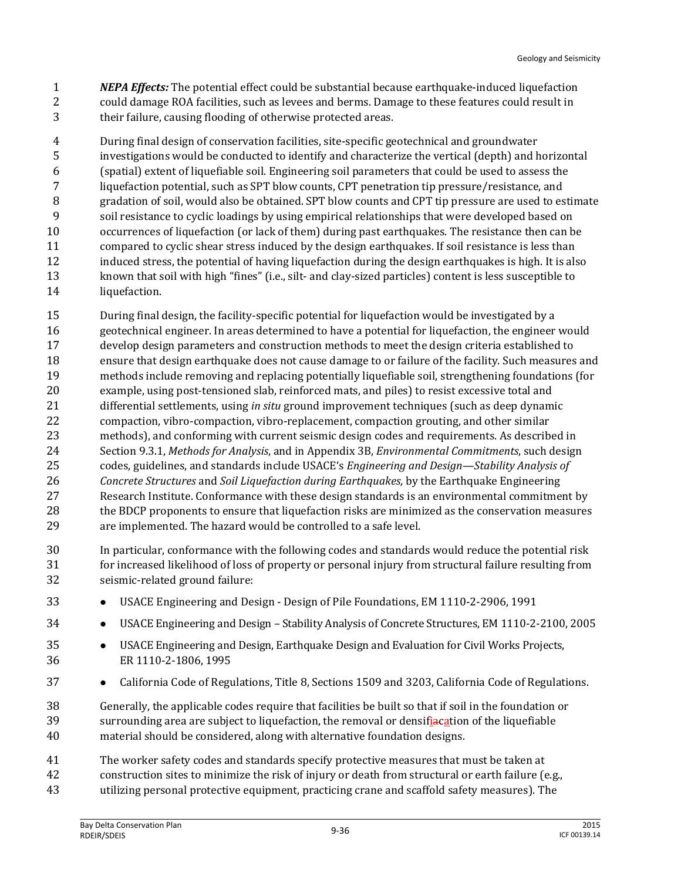*NEPA Effects:* The potential effect could be substantial because earthquake-induced liquefaction could damage ROA facilities, such as levees and berms. Damage to these features could result in their failure, causing flooding of otherwise protected areas.

 During final design of conservation facilities, site-specific geotechnical and groundwater investigations would be conducted to identify and characterize the vertical (depth) and horizontal (spatial) extent of liquefiable soil. Engineering soil parameters that could be used to assess the liquefaction potential, such as SPT blow counts, CPT penetration tip pressure/resistance, and gradation of soil, would also be obtained. SPT blow counts and CPT tip pressure are used to estimate soil resistance to cyclic loadings by using empirical relationships that were developed based on occurrences of liquefaction (or lack of them) during past earthquakes. The resistance then can be compared to cyclic shear stress induced by the design earthquakes. If soil resistance is less than induced stress, the potential of having liquefaction during the design earthquakes is high. It is also known that soil with high "fines" (i.e., silt- and clay-sized particles) content is less susceptible to liquefaction.

 During final design, the facility-specific potential for liquefaction would be investigated by a geotechnical engineer. In areas determined to have a potential for liquefaction, the engineer would develop design parameters and construction methods to meet the design criteria established to ensure that design earthquake does not cause damage to or failure of the facility. Such measures and methods include removing and replacing potentially liquefiable soil, strengthening foundations (for example, using post-tensioned slab, reinforced mats, and piles) to resist excessive total and differential settlements, using *in situ* ground improvement techniques (such as deep dynamic compaction, vibro-compaction, vibro-replacement, compaction grouting, and other similar methods), and conforming with current seismic design codes and requirements. As described in Section 9.3.1, *Methods for Analysis*, and in Appendix 3B, *Environmental Commitments*, such design codes, guidelines, and standards include USACE's *Engineering and Design—Stability Analysis of Concrete Structures* and *Soil Liquefaction during Earthquakes,* by the Earthquake Engineering Research Institute. Conformance with these design standards is an environmental commitment by 28 the BDCP proponents to ensure that liquefaction risks are minimized as the conservation measures are implemented. The hazard would be controlled to a safe level.

- In particular, conformance with the following codes and standards would reduce the potential risk for increased likelihood of loss of property or personal injury from structural failure resulting from seismic-related ground failure:
- USACE Engineering and Design Design of Pile Foundations, EM 1110-2-2906, 1991
- 34 USACE Engineering and Design Stability Analysis of Concrete Structures, EM 1110-2-2100, 2005
- USACE Engineering and Design, Earthquake Design and Evaluation for Civil Works Projects, ER 1110-2-1806, 1995
- **•** California Code of Regulations, Title 8, Sections 1509 and 3203, California Code of Regulations.
- Generally, the applicable codes require that facilities be built so that if soil in the foundation or 39 surrounding area are subject to liquefaction, the removal or densifiacation of the liquefiable material should be considered, along with alternative foundation designs.

 The worker safety codes and standards specify protective measures that must be taken at construction sites to minimize the risk of injury or death from structural or earth failure (e.g., utilizing personal protective equipment, practicing crane and scaffold safety measures). The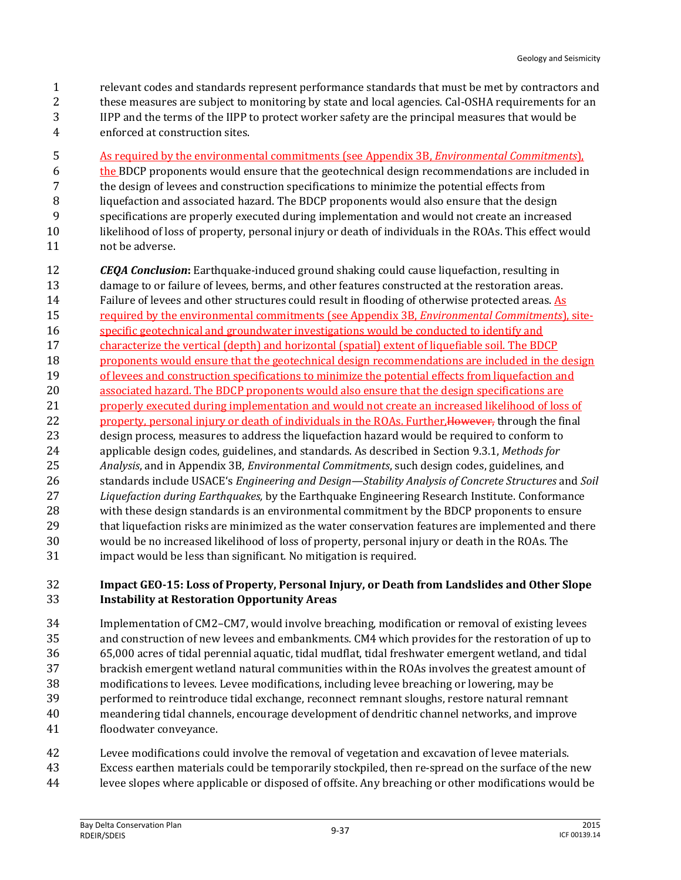- relevant codes and standards represent performance standards that must be met by contractors and
- these measures are subject to monitoring by state and local agencies. Cal-OSHA requirements for an
- IIPP and the terms of the IIPP to protect worker safety are the principal measures that would be
- enforced at construction sites.
- As required by the environmental commitments (see Appendix 3B, *Environmental Commitments*),
- 6 the BDCP proponents would ensure that the geotechnical design recommendations are included in
- the design of levees and construction specifications to minimize the potential effects from
- liquefaction and associated hazard. The BDCP proponents would also ensure that the design
- specifications are properly executed during implementation and would not create an increased likelihood of loss of property, personal injury or death of individuals in the ROAs. This effect would
- not be adverse.
- *CEQA Conclusion***:** Earthquake-induced ground shaking could cause liquefaction, resulting in damage to or failure of levees, berms, and other features constructed at the restoration areas. Failure of levees and other structures could result in flooding of otherwise protected areas. As required by the environmental commitments (see Appendix 3B, *Environmental Commitments*), site- specific geotechnical and groundwater investigations would be conducted to identify and characterize the vertical (depth) and horizontal (spatial) extent of liquefiable soil. The BDCP proponents would ensure that the geotechnical design recommendations are included in the design of levees and construction specifications to minimize the potential effects from liquefaction and 20 associated hazard. The BDCP proponents would also ensure that the design specifications are properly executed during implementation and would not create an increased likelihood of loss of 22 property, personal injury or death of individuals in the ROAs. Further, However, through the final design process, measures to address the liquefaction hazard would be required to conform to applicable design codes, guidelines, and standards. As described in Section 9.3.1, *Methods for Analysis*, and in Appendix 3B, *Environmental Commitments*, such design codes, guidelines, and standards include USACE's *Engineering and Design—Stability Analysis of Concrete Structures* and *Soil Liquefaction during Earthquakes,* by the Earthquake Engineering Research Institute. Conformance with these design standards is an environmental commitment by the BDCP proponents to ensure that liquefaction risks are minimized as the water conservation features are implemented and there would be no increased likelihood of loss of property, personal injury or death in the ROAs. The impact would be less than significant. No mitigation is required.

#### **Impact GEO-15: Loss of Property, Personal Injury, or Death from Landslides and Other Slope Instability at Restoration Opportunity Areas**

- Implementation of CM2–CM7, would involve breaching, modification or removal of existing levees and construction of new levees and embankments. CM4 which provides for the restoration of up to 65,000 acres of tidal perennial aquatic, tidal mudflat, tidal freshwater emergent wetland, and tidal brackish emergent wetland natural communities within the ROAs involves the greatest amount of modifications to levees. Levee modifications, including levee breaching or lowering, may be performed to reintroduce tidal exchange, reconnect remnant sloughs, restore natural remnant meandering tidal channels, encourage development of dendritic channel networks, and improve floodwater conveyance.
- Levee modifications could involve the removal of vegetation and excavation of levee materials.
- Excess earthen materials could be temporarily stockpiled, then re-spread on the surface of the new
- levee slopes where applicable or disposed of offsite. Any breaching or other modifications would be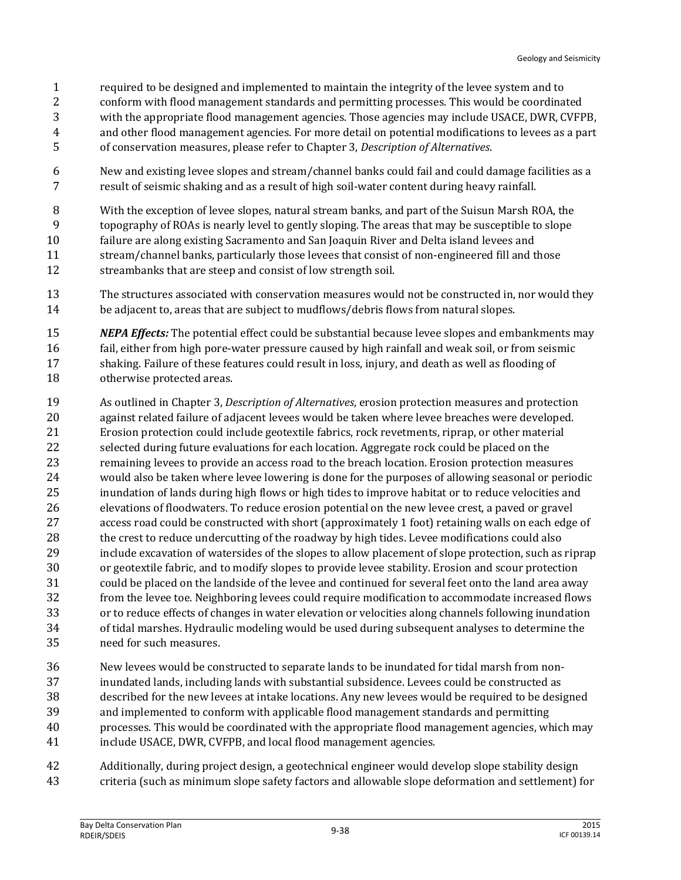- required to be designed and implemented to maintain the integrity of the levee system and to
- conform with flood management standards and permitting processes. This would be coordinated
- with the appropriate flood management agencies. Those agencies may include USACE, DWR, CVFPB,
- and other flood management agencies. For more detail on potential modifications to levees as a part
- of conservation measures, please refer to Chapter 3, *Description of Alternatives*.
- New and existing levee slopes and stream/channel banks could fail and could damage facilities as a result of seismic shaking and as a result of high soil-water content during heavy rainfall.
- With the exception of levee slopes, natural stream banks, and part of the Suisun Marsh ROA, the
- topography of ROAs is nearly level to gently sloping. The areas that may be susceptible to slope
- failure are along existing Sacramento and San Joaquin River and Delta island levees and
- stream/channel banks, particularly those levees that consist of non-engineered fill and those streambanks that are steep and consist of low strength soil.
- The structures associated with conservation measures would not be constructed in, nor would they 14 be adjacent to, areas that are subject to mudflows/debris flows from natural slopes.
- *NEPA Effects:* The potential effect could be substantial because levee slopes and embankments may fail, either from high pore-water pressure caused by high rainfall and weak soil, or from seismic shaking. Failure of these features could result in loss, injury, and death as well as flooding of otherwise protected areas.
- As outlined in Chapter 3, *Description of Alternatives*, erosion protection measures and protection against related failure of adjacent levees would be taken where levee breaches were developed. Erosion protection could include geotextile fabrics, rock revetments, riprap, or other material selected during future evaluations for each location. Aggregate rock could be placed on the remaining levees to provide an access road to the breach location. Erosion protection measures would also be taken where levee lowering is done for the purposes of allowing seasonal or periodic inundation of lands during high flows or high tides to improve habitat or to reduce velocities and elevations of floodwaters. To reduce erosion potential on the new levee crest, a paved or gravel access road could be constructed with short (approximately 1 foot) retaining walls on each edge of 28 the crest to reduce undercutting of the roadway by high tides. Levee modifications could also include excavation of watersides of the slopes to allow placement of slope protection, such as riprap or geotextile fabric, and to modify slopes to provide levee stability. Erosion and scour protection could be placed on the landside of the levee and continued for several feet onto the land area away from the levee toe. Neighboring levees could require modification to accommodate increased flows or to reduce effects of changes in water elevation or velocities along channels following inundation of tidal marshes. Hydraulic modeling would be used during subsequent analyses to determine the need for such measures.
- New levees would be constructed to separate lands to be inundated for tidal marsh from non- inundated lands, including lands with substantial subsidence. Levees could be constructed as described for the new levees at intake locations. Any new levees would be required to be designed and implemented to conform with applicable flood management standards and permitting processes. This would be coordinated with the appropriate flood management agencies, which may include USACE, DWR, CVFPB, and local flood management agencies.
- Additionally, during project design, a geotechnical engineer would develop slope stability design criteria (such as minimum slope safety factors and allowable slope deformation and settlement) for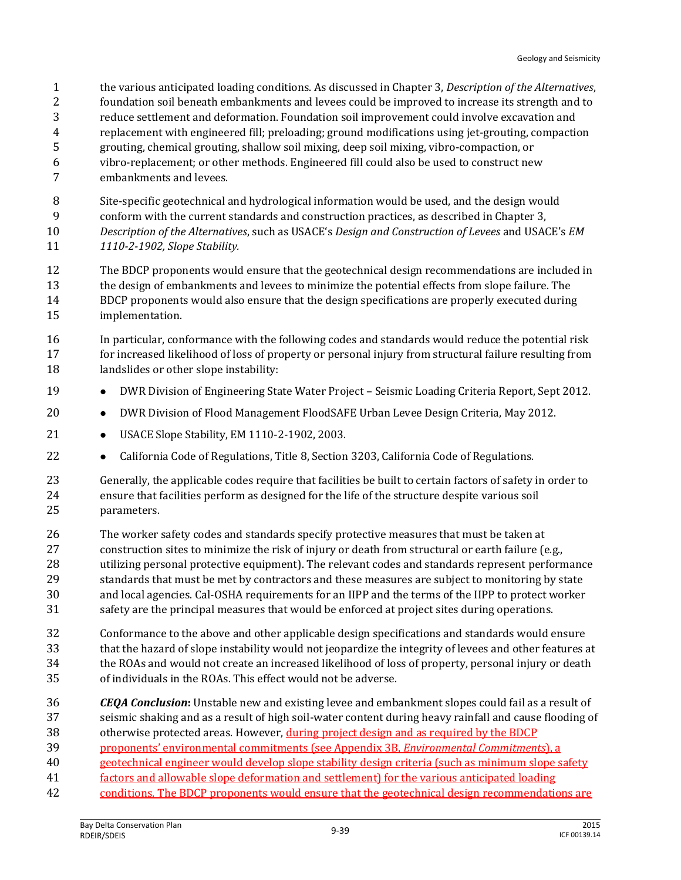- the various anticipated loading conditions. As discussed in Chapter 3, *Description of the Alternatives*,
- foundation soil beneath embankments and levees could be improved to increase its strength and to
- reduce settlement and deformation. Foundation soil improvement could involve excavation and
- replacement with engineered fill; preloading; ground modifications using jet-grouting, compaction
- grouting, chemical grouting, shallow soil mixing, deep soil mixing, vibro-compaction, or
- vibro-replacement; or other methods. Engineered fill could also be used to construct new
- embankments and levees.
- Site-specific geotechnical and hydrological information would be used, and the design would
- conform with the current standards and construction practices, as described in Chapter 3,
- *Description of the Alternatives*, such as USACE's *Design and Construction of Levees* and USACE's *EM 1110-2-1902, Slope Stability.*
- The BDCP proponents would ensure that the geotechnical design recommendations are included in the design of embankments and levees to minimize the potential effects from slope failure. The BDCP proponents would also ensure that the design specifications are properly executed during implementation.
- In particular, conformance with the following codes and standards would reduce the potential risk 17 for increased likelihood of loss of property or personal injury from structural failure resulting from landslides or other slope instability:
- **••** DWR Division of Engineering State Water Project Seismic Loading Criteria Report, Sept 2012.
- **•** DWR Division of Flood Management FloodSAFE Urban Levee Design Criteria, May 2012.
- USACE Slope Stability, EM 1110-2-1902, 2003.
- **•** California Code of Regulations, Title 8, Section 3203, California Code of Regulations.
- Generally, the applicable codes require that facilities be built to certain factors of safety in order to ensure that facilities perform as designed for the life of the structure despite various soil parameters.
- The worker safety codes and standards specify protective measures that must be taken at construction sites to minimize the risk of injury or death from structural or earth failure (e.g., utilizing personal protective equipment). The relevant codes and standards represent performance standards that must be met by contractors and these measures are subject to monitoring by state and local agencies. Cal-OSHA requirements for an IIPP and the terms of the IIPP to protect worker safety are the principal measures that would be enforced at project sites during operations.
- Conformance to the above and other applicable design specifications and standards would ensure that the hazard of slope instability would not jeopardize the integrity of levees and other features at the ROAs and would not create an increased likelihood of loss of property, personal injury or death of individuals in the ROAs. This effect would not be adverse.
- *CEQA Conclusion***:** Unstable new and existing levee and embankment slopes could fail as a result of seismic shaking and as a result of high soil-water content during heavy rainfall and cause flooding of otherwise protected areas. However, during project design and as required by the BDCP
- proponents' environmental commitments (see Appendix 3B, *Environmental Commitments*), a
- geotechnical engineer would develop slope stability design criteria (such as minimum slope safety
- 41 factors and allowable slope deformation and settlement) for the various anticipated loading
- 42 conditions. The BDCP proponents would ensure that the geotechnical design recommendations are